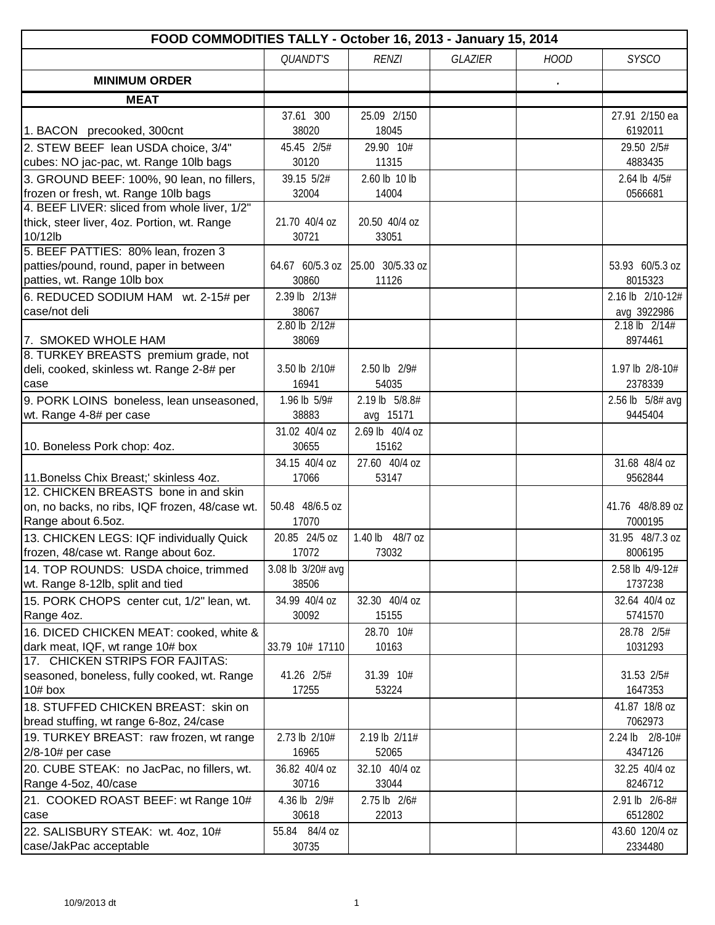|                                                          | FOOD COMMODITIES TALLY - October 16, 2013 - January 15, 2014 |                                  |                |             |                   |  |  |  |
|----------------------------------------------------------|--------------------------------------------------------------|----------------------------------|----------------|-------------|-------------------|--|--|--|
|                                                          | <b>QUANDT'S</b>                                              | <b>RENZI</b>                     | <b>GLAZIER</b> | <b>HOOD</b> | <b>SYSCO</b>      |  |  |  |
| <b>MINIMUM ORDER</b>                                     |                                                              |                                  |                |             |                   |  |  |  |
| <b>MEAT</b>                                              |                                                              |                                  |                |             |                   |  |  |  |
|                                                          | 37.61 300                                                    | 25.09 2/150                      |                |             | 27.91 2/150 ea    |  |  |  |
| 1. BACON precooked, 300cnt                               | 38020                                                        | 18045                            |                |             | 6192011           |  |  |  |
| 2. STEW BEEF lean USDA choice, 3/4"                      | 45.45 2/5#                                                   | 29.90 10#                        |                |             | 29.50 2/5#        |  |  |  |
| cubes: NO jac-pac, wt. Range 10lb bags                   | 30120                                                        | 11315                            |                |             | 4883435           |  |  |  |
| 3. GROUND BEEF: 100%, 90 lean, no fillers,               | 39.15 5/2#                                                   | 2.60 lb 10 lb                    |                |             | 2.64 lb 4/5#      |  |  |  |
| frozen or fresh, wt. Range 10lb bags                     | 32004                                                        | 14004                            |                |             | 0566681           |  |  |  |
| 4. BEEF LIVER: sliced from whole liver, 1/2"             |                                                              |                                  |                |             |                   |  |  |  |
| thick, steer liver, 4oz. Portion, wt. Range<br>10/12lb   | 21.70 40/4 oz<br>30721                                       | 20.50 40/4 oz<br>33051           |                |             |                   |  |  |  |
| 5. BEEF PATTIES: 80% lean, frozen 3                      |                                                              |                                  |                |             |                   |  |  |  |
| patties/pound, round, paper in between                   |                                                              | 64.67 60/5.3 oz 25.00 30/5.33 oz |                |             | 53.93 60/5.3 oz   |  |  |  |
| patties, wt. Range 10lb box                              | 30860                                                        | 11126                            |                |             | 8015323           |  |  |  |
| 6. REDUCED SODIUM HAM wt. 2-15# per                      | 2.39 lb 2/13#                                                |                                  |                |             | 2.16 lb 2/10-12#  |  |  |  |
| case/not deli                                            | 38067                                                        |                                  |                |             | avg 3922986       |  |  |  |
|                                                          | 2.80 lb 2/12#                                                |                                  |                |             | $2.18$ lb $2/14#$ |  |  |  |
| 7. SMOKED WHOLE HAM                                      | 38069                                                        |                                  |                |             | 8974461           |  |  |  |
| 8. TURKEY BREASTS premium grade, not                     |                                                              |                                  |                |             |                   |  |  |  |
| deli, cooked, skinless wt. Range 2-8# per                | 3.50 lb 2/10#                                                | 2.50 lb 2/9#                     |                |             | 1.97 lb 2/8-10#   |  |  |  |
| case                                                     | 16941                                                        | 54035                            |                |             | 2378339           |  |  |  |
| 9. PORK LOINS boneless, lean unseasoned,                 | 1.96 lb 5/9#                                                 | 2.19 lb 5/8.8#                   |                |             | 2.56 lb 5/8# avg  |  |  |  |
| wt. Range 4-8# per case                                  | 38883                                                        | avg 15171                        |                |             | 9445404           |  |  |  |
| 10. Boneless Pork chop: 4oz.                             | 31.02 40/4 oz<br>30655                                       | 2.69 lb 40/4 oz<br>15162         |                |             |                   |  |  |  |
|                                                          | 34.15 40/4 oz                                                | 27.60 40/4 oz                    |                |             | 31.68 48/4 oz     |  |  |  |
| 11. Bonelss Chix Breast;' skinless 4oz.                  | 17066                                                        | 53147                            |                |             | 9562844           |  |  |  |
| 12. CHICKEN BREASTS bone in and skin                     |                                                              |                                  |                |             |                   |  |  |  |
| on, no backs, no ribs, IQF frozen, 48/case wt.           | 50.48 48/6.5 oz                                              |                                  |                |             | 41.76 48/8.89 oz  |  |  |  |
| Range about 6.5oz.                                       | 17070                                                        |                                  |                |             | 7000195           |  |  |  |
| 13. CHICKEN LEGS: IQF individually Quick                 | 20.85 24/5 oz                                                | 1.40 lb 48/7 oz                  |                |             | 31.95 48/7.3 oz   |  |  |  |
| frozen, 48/case wt. Range about 6oz.                     | 17072                                                        | 73032                            |                |             | 8006195           |  |  |  |
| 14. TOP ROUNDS: USDA choice, trimmed                     | 3.08 lb 3/20# avg                                            |                                  |                |             | 2.58 lb 4/9-12#   |  |  |  |
| wt. Range 8-12lb, split and tied                         | 38506                                                        |                                  |                |             | 1737238           |  |  |  |
| 15. PORK CHOPS center cut, 1/2" lean, wt.                | 34.99 40/4 oz                                                | 32.30 40/4 oz                    |                |             | 32.64 40/4 oz     |  |  |  |
| Range 4oz.                                               | 30092                                                        | 15155                            |                |             | 5741570           |  |  |  |
| 16. DICED CHICKEN MEAT: cooked, white &                  |                                                              | 28.70 10#                        |                |             | 28.78 2/5#        |  |  |  |
| dark meat, IQF, wt range 10# box                         | 33.79 10# 17110                                              | 10163                            |                |             | 1031293           |  |  |  |
| 17. CHICKEN STRIPS FOR FAJITAS:                          | 41.26 2/5#                                                   | 31.39 10#                        |                |             | 31.53 2/5#        |  |  |  |
| seasoned, boneless, fully cooked, wt. Range<br>$10#$ box | 17255                                                        | 53224                            |                |             | 1647353           |  |  |  |
| 18. STUFFED CHICKEN BREAST: skin on                      |                                                              |                                  |                |             | 41.87 18/8 oz     |  |  |  |
| bread stuffing, wt range 6-8oz, 24/case                  |                                                              |                                  |                |             | 7062973           |  |  |  |
| 19. TURKEY BREAST: raw frozen, wt range                  | 2.73 lb 2/10#                                                | 2.19 lb 2/11#                    |                |             | 2.24 lb 2/8-10#   |  |  |  |
| 2/8-10# per case                                         | 16965                                                        | 52065                            |                |             | 4347126           |  |  |  |
| 20. CUBE STEAK: no JacPac, no fillers, wt.               | 36.82 40/4 oz                                                | 32.10 40/4 oz                    |                |             | 32.25 40/4 oz     |  |  |  |
| Range 4-5oz, 40/case                                     | 30716                                                        | 33044                            |                |             | 8246712           |  |  |  |
| 21. COOKED ROAST BEEF: wt Range 10#                      | 4.36 lb 2/9#                                                 | 2.75 lb 2/6#                     |                |             | 2.91 lb 2/6-8#    |  |  |  |
| case                                                     | 30618                                                        | 22013                            |                |             | 6512802           |  |  |  |
| 22. SALISBURY STEAK: wt. 4oz, 10#                        | 55.84 84/4 oz                                                |                                  |                |             | 43.60 120/4 oz    |  |  |  |
| case/JakPac acceptable                                   | 30735                                                        |                                  |                |             | 2334480           |  |  |  |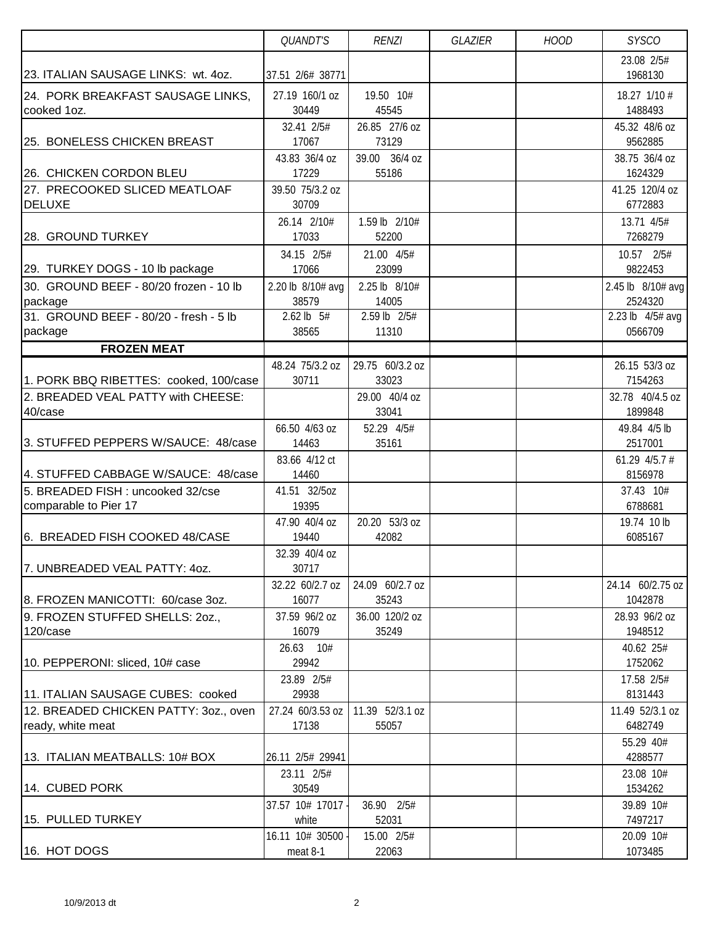|                                                | QUANDT'S                 | <b>RENZI</b>           | <b>GLAZIER</b> | <b>HOOD</b> | <b>SYSCO</b>              |
|------------------------------------------------|--------------------------|------------------------|----------------|-------------|---------------------------|
|                                                |                          |                        |                |             | 23.08 2/5#                |
| 23. ITALIAN SAUSAGE LINKS: wt. 4oz.            | 37.51 2/6# 38771         |                        |                |             | 1968130                   |
| 24. PORK BREAKFAST SAUSAGE LINKS,              | 27.19 160/1 oz           | 19.50 10#              |                |             | 18.27 1/10 #              |
| cooked 1oz.                                    | 30449                    | 45545                  |                |             | 1488493                   |
|                                                | 32.41 2/5#               | 26.85 27/6 oz          |                |             | 45.32 48/6 oz             |
| 25. BONELESS CHICKEN BREAST                    | 17067                    | 73129                  |                |             | 9562885                   |
|                                                | 43.83 36/4 oz            | 39.00 36/4 oz          |                |             | 38.75 36/4 oz             |
| 26. CHICKEN CORDON BLEU                        | 17229                    | 55186                  |                |             | 1624329                   |
| 27. PRECOOKED SLICED MEATLOAF<br><b>DELUXE</b> | 39.50 75/3.2 oz<br>30709 |                        |                |             | 41.25 120/4 oz<br>6772883 |
|                                                |                          |                        |                |             |                           |
| 28. GROUND TURKEY                              | 26.14 2/10#<br>17033     | 1.59 lb 2/10#<br>52200 |                |             | 13.71 4/5#<br>7268279     |
|                                                | 34.15 2/5#               | 21.00 4/5#             |                |             | 10.57 2/5#                |
| 29. TURKEY DOGS - 10 lb package                | 17066                    | 23099                  |                |             | 9822453                   |
| 30. GROUND BEEF - 80/20 frozen - 10 lb         | 2.20 lb 8/10# avg        | 2.25 lb 8/10#          |                |             | 2.45 lb 8/10# avg         |
| package                                        | 38579                    | 14005                  |                |             | 2524320                   |
| 31. GROUND BEEF - 80/20 - fresh - 5 lb         | 2.62 lb $5#$             | 2.59 lb 2/5#           |                |             | 2.23 lb 4/5# avg          |
| package                                        | 38565                    | 11310                  |                |             | 0566709                   |
| <b>FROZEN MEAT</b>                             |                          |                        |                |             |                           |
|                                                | 48.24 75/3.2 oz          | 29.75 60/3.2 oz        |                |             | 26.15 53/3 oz             |
| 1. PORK BBQ RIBETTES: cooked, 100/case         | 30711                    | 33023                  |                |             | 7154263                   |
| 2. BREADED VEAL PATTY with CHEESE:             |                          | 29.00 40/4 oz          |                |             | 32.78 40/4.5 oz           |
| 40/case                                        |                          | 33041                  |                |             | 1899848                   |
|                                                | 66.50 4/63 oz            | 52.29 4/5#             |                |             | 49.84 4/5 lb              |
| 3. STUFFED PEPPERS W/SAUCE: 48/case            | 14463                    | 35161                  |                |             | 2517001                   |
|                                                | 83.66 4/12 ct            |                        |                |             | 61.29 $4/5.7$ #           |
| 4. STUFFED CABBAGE W/SAUCE: 48/case            | 14460                    |                        |                |             | 8156978                   |
| 5. BREADED FISH : uncooked 32/cse              | 41.51 32/5oz             |                        |                |             | 37.43 10#                 |
| comparable to Pier 17                          | 19395                    |                        |                |             | 6788681                   |
| 6. BREADED FISH COOKED 48/CASE                 | 47.90 40/4 oz<br>19440   | 20.20 53/3 oz<br>42082 |                |             | 19.74 10 lb<br>6085167    |
|                                                | 32.39 40/4 oz            |                        |                |             |                           |
| 7. UNBREADED VEAL PATTY: 40Z.                  | 30717                    |                        |                |             |                           |
|                                                | 32.22 60/2.7 oz          | 24.09 60/2.7 oz        |                |             | 24.14 60/2.75 oz          |
| 8. FROZEN MANICOTTI: 60/case 3oz.              | 16077                    | 35243                  |                |             | 1042878                   |
| 9. FROZEN STUFFED SHELLS: 20z.,                | 37.59 96/2 oz            | 36.00 120/2 oz         |                |             | 28.93 96/2 oz             |
| 120/case                                       | 16079                    | 35249                  |                |             | 1948512                   |
|                                                | 26.63 10#                |                        |                |             | 40.62 25#                 |
| 10. PEPPERONI: sliced, 10# case                | 29942                    |                        |                |             | 1752062                   |
|                                                | 23.89 2/5#               |                        |                |             | 17.58 2/5#                |
| 11. ITALIAN SAUSAGE CUBES: cooked              | 29938                    |                        |                |             | 8131443                   |
| 12. BREADED CHICKEN PATTY: 30Z., oven          | 27.24 60/3.53 oz         | 11.39 52/3.1 oz        |                |             | 11.49 52/3.1 oz           |
| ready, white meat                              | 17138                    | 55057                  |                |             | 6482749                   |
|                                                |                          |                        |                |             | 55.29 40#                 |
| 13. ITALIAN MEATBALLS: 10# BOX                 | 26.11 2/5# 29941         |                        |                |             | 4288577                   |
| 14. CUBED PORK                                 | 23.11 2/5#               |                        |                |             | 23.08 10#                 |
|                                                | 30549<br>37.57 10# 17017 | 36.90 2/5#             |                |             | 1534262<br>39.89 10#      |
| 15. PULLED TURKEY                              | white                    | 52031                  |                |             | 7497217                   |
|                                                | 16.11 10# 30500          | 15.00 2/5#             |                |             | 20.09 10#                 |
| 16. HOT DOGS                                   | meat 8-1                 | 22063                  |                |             | 1073485                   |
|                                                |                          |                        |                |             |                           |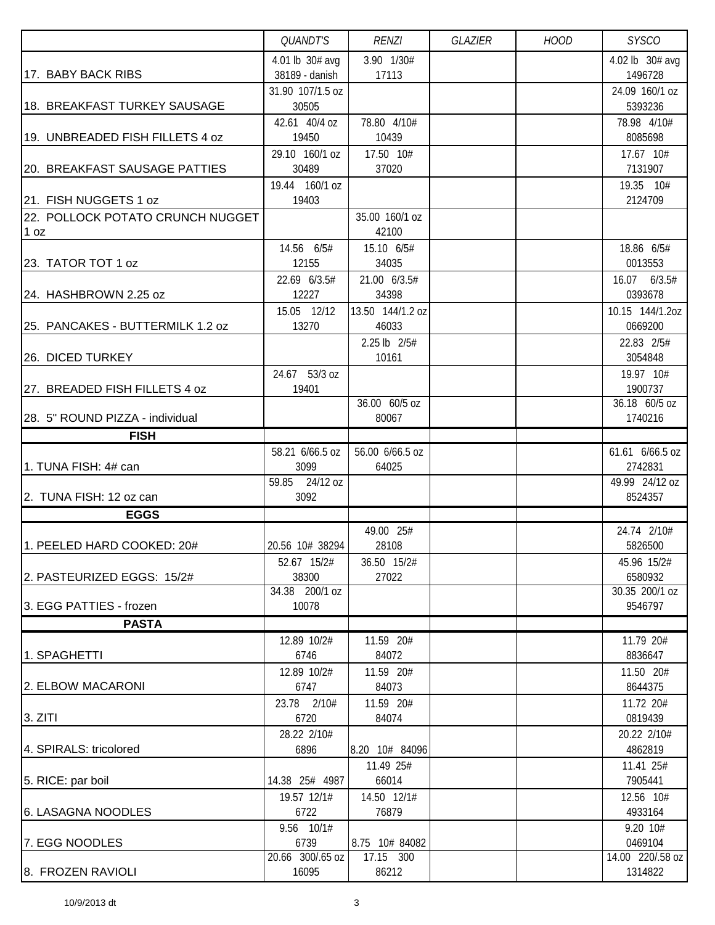|                                  | QUANDT'S                 | <b>RENZI</b>                | GLAZIER | <b>HOOD</b> | <b>SYSCO</b>                |
|----------------------------------|--------------------------|-----------------------------|---------|-------------|-----------------------------|
|                                  | 4.01 lb 30# avg          | 3.90 1/30#                  |         |             | 4.02 lb 30# avg             |
| 17. BABY BACK RIBS               | 38189 - danish           | 17113                       |         |             | 1496728                     |
|                                  | 31.90 107/1.5 oz         |                             |         |             | 24.09 160/1 oz              |
| 18. BREAKFAST TURKEY SAUSAGE     | 30505                    |                             |         |             | 5393236                     |
|                                  | 42.61 40/4 oz            | 78.80 4/10#                 |         |             | 78.98 4/10#                 |
| 19. UNBREADED FISH FILLETS 4 oz  | 19450                    | 10439                       |         |             | 8085698<br>17.67 10#        |
| 20. BREAKFAST SAUSAGE PATTIES    | 29.10 160/1 oz<br>30489  | 17.50 10#<br>37020          |         |             | 7131907                     |
|                                  | 19.44 160/1 oz           |                             |         |             | 19.35 10#                   |
| 21. FISH NUGGETS 1 oz            | 19403                    |                             |         |             | 2124709                     |
| 22. POLLOCK POTATO CRUNCH NUGGET |                          | 35.00 160/1 oz              |         |             |                             |
| 1 oz                             |                          | 42100                       |         |             |                             |
|                                  | 14.56 6/5#               | 15.10 6/5#                  |         |             | 18.86 6/5#                  |
| 23. TATOR TOT 1 oz               | 12155                    | 34035                       |         |             | 0013553                     |
| 24. HASHBROWN 2.25 oz            | 22.69 6/3.5#<br>12227    | 21.00 6/3.5#<br>34398       |         |             | 16.07 6/3.5#<br>0393678     |
|                                  | 15.05 12/12              | 13.50 144/1.2 oz            |         |             | 10.15 144/1.2oz             |
| 25. PANCAKES - BUTTERMILK 1.2 oz | 13270                    | 46033                       |         |             | 0669200                     |
|                                  |                          | 2.25 lb 2/5#                |         |             | 22.83 2/5#                  |
| 26. DICED TURKEY                 |                          | 10161                       |         |             | 3054848                     |
|                                  | 24.67 53/3 oz            |                             |         |             | 19.97 10#                   |
| 27. BREADED FISH FILLETS 4 oz    | 19401                    |                             |         |             | 1900737                     |
|                                  |                          | 36.00 60/5 oz               |         |             | 36.18 60/5 oz               |
| 28. 5" ROUND PIZZA - individual  |                          | 80067                       |         |             | 1740216                     |
| <b>FISH</b>                      | 58.21 6/66.5 oz          | 56.00 6/66.5 oz             |         |             | 61.61 6/66.5 oz             |
| 1. TUNA FISH: 4# can             | 3099                     | 64025                       |         |             | 2742831                     |
|                                  | 59.85 24/12 oz           |                             |         |             | 49.99 24/12 oz              |
| 2. TUNA FISH: 12 oz can          | 3092                     |                             |         |             | 8524357                     |
| <b>EGGS</b>                      |                          |                             |         |             |                             |
|                                  |                          | 49.00 25#                   |         |             | 24.74 2/10#                 |
| 1. PEELED HARD COOKED: 20#       | 20.56 10# 38294          | 28108                       |         |             | 5826500                     |
| 2. PASTEURIZED EGGS: 15/2#       | 52.67 15/2#<br>38300     | 36.50 15/2#<br>27022        |         |             | 45.96 15/2#<br>6580932      |
|                                  | 34.38 200/1 oz           |                             |         |             | 30.35 200/1 oz              |
| 3. EGG PATTIES - frozen          | 10078                    |                             |         |             | 9546797                     |
| <b>PASTA</b>                     |                          |                             |         |             |                             |
|                                  | 12.89 10/2#              | 11.59 20#                   |         |             | 11.79 20#                   |
| 1. SPAGHETTI                     | 6746                     | 84072                       |         |             | 8836647                     |
|                                  | 12.89 10/2#              | 11.59 20#                   |         |             | 11.50 20#                   |
| 2. ELBOW MACARONI                | 6747                     | 84073                       |         |             | 8644375                     |
| 3. ZITI                          | 23.78 2/10#<br>6720      | 11.59 20#<br>84074          |         |             | 11.72 20#<br>0819439        |
|                                  | 28.22 2/10#              |                             |         |             | 20.22 2/10#                 |
| 4. SPIRALS: tricolored           | 6896                     | 8.20 10# 84096              |         |             | 4862819                     |
|                                  |                          | 11.49 25#                   |         |             | 11.41 25#                   |
| 5. RICE: par boil                | 14.38 25# 4987           | 66014                       |         |             | 7905441                     |
|                                  | 19.57 12/1#              | 14.50 12/1#                 |         |             | 12.56 10#                   |
| 6. LASAGNA NOODLES               | 6722                     | 76879                       |         |             | 4933164                     |
|                                  | 9.56 10/1#               |                             |         |             | 9.20 10#                    |
| 7. EGG NOODLES                   | 6739<br>20.66 300/.65 oz | 8.75 10# 84082<br>17.15 300 |         |             | 0469104<br>14.00 220/.58 oz |
| 8. FROZEN RAVIOLI                | 16095                    | 86212                       |         |             | 1314822                     |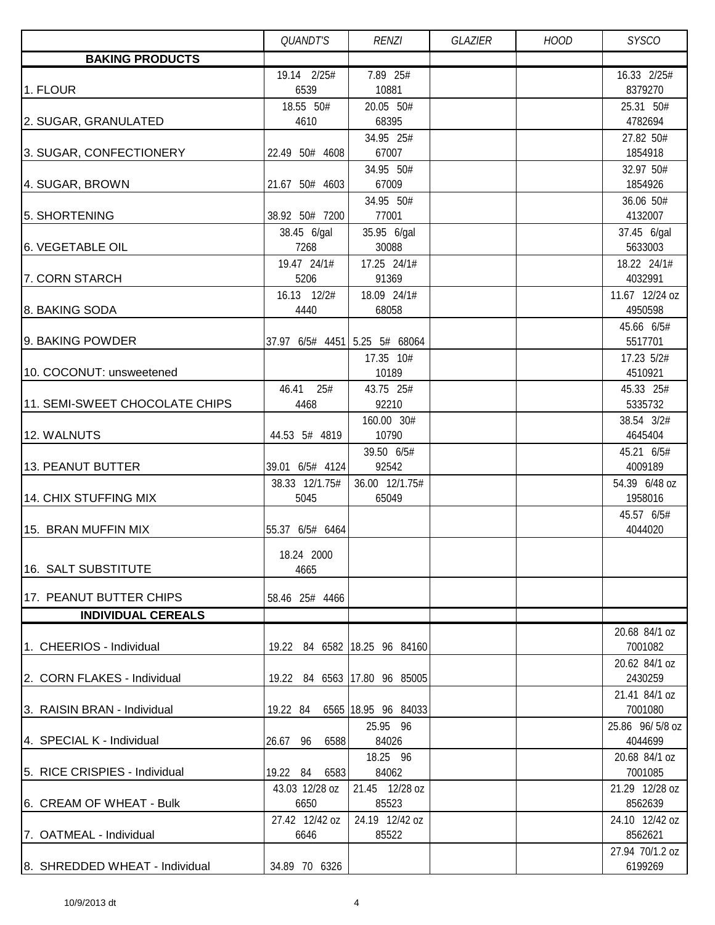|                                | QUANDT'S                        | <b>RENZI</b>                 | <b>GLAZIER</b> | <b>HOOD</b> | <b>SYSCO</b>              |
|--------------------------------|---------------------------------|------------------------------|----------------|-------------|---------------------------|
| <b>BAKING PRODUCTS</b>         |                                 |                              |                |             |                           |
| 1. FLOUR                       | 19.14 2/25#<br>6539             | 7.89 25#<br>10881            |                |             | 16.33 2/25#<br>8379270    |
|                                | 18.55 50#                       | 20.05 50#                    |                |             | 25.31 50#                 |
| 2. SUGAR, GRANULATED           | 4610                            | 68395                        |                |             | 4782694                   |
|                                |                                 | 34.95 25#                    |                |             | 27.82 50#                 |
| 3. SUGAR, CONFECTIONERY        | 22.49 50# 4608                  | 67007                        |                |             | 1854918                   |
| 4. SUGAR, BROWN                | 21.67 50# 4603                  | 34.95 50#<br>67009           |                |             | 32.97 50#<br>1854926      |
|                                |                                 | 34.95 50#                    |                |             | 36.06 50#                 |
| 5. SHORTENING                  | 38.92 50# 7200                  | 77001                        |                |             | 4132007                   |
|                                | 38.45 6/gal                     | 35.95 6/gal                  |                |             | 37.45 6/gal               |
| 6. VEGETABLE OIL               | 7268                            | 30088                        |                |             | 5633003                   |
| 7. CORN STARCH                 | 19.47 24/1#<br>5206             | 17.25 24/1#<br>91369         |                |             | 18.22 24/1#<br>4032991    |
|                                | 16.13 12/2#                     | 18.09 24/1#                  |                |             | 11.67 12/24 oz            |
| 8. BAKING SODA                 | 4440                            | 68058                        |                |             | 4950598                   |
|                                |                                 |                              |                |             | 45.66 6/5#                |
| 9. BAKING POWDER               | 37.97 6/5# 4451 5.25 5# 68064   |                              |                |             | 5517701                   |
| 10. COCONUT: unsweetened       |                                 | 17.35 10#<br>10189           |                |             | 17.23 5/2#<br>4510921     |
|                                | 46.41 25#                       | 43.75 25#                    |                |             | 45.33 25#                 |
| 11. SEMI-SWEET CHOCOLATE CHIPS | 4468                            | 92210                        |                |             | 5335732                   |
|                                |                                 | 160.00 30#                   |                |             | 38.54 3/2#                |
| 12. WALNUTS                    | 44.53 5# 4819                   | 10790                        |                |             | 4645404                   |
| 13. PEANUT BUTTER              | 39.01 6/5# 4124                 | 39.50 6/5#<br>92542          |                |             | 45.21 6/5#<br>4009189     |
|                                | 38.33 12/1.75#                  | 36.00 12/1.75#               |                |             | 54.39 6/48 oz             |
| 14. CHIX STUFFING MIX          | 5045                            | 65049                        |                |             | 1958016                   |
|                                |                                 |                              |                |             | 45.57 6/5#                |
| 15. BRAN MUFFIN MIX            | 55.37 6/5# 6464                 |                              |                |             | 4044020                   |
|                                | 18.24 2000                      |                              |                |             |                           |
| 16. SALT SUBSTITUTE            | 4665                            |                              |                |             |                           |
| 17. PEANUT BUTTER CHIPS        | 58.46 25# 4466                  |                              |                |             |                           |
| <b>INDIVIDUAL CEREALS</b>      |                                 |                              |                |             |                           |
|                                |                                 |                              |                |             | 20.68 84/1 oz             |
| 1. CHEERIOS - Individual       |                                 | 19.22 84 6582 18.25 96 84160 |                |             | 7001082                   |
| 2. CORN FLAKES - Individual    |                                 | 19.22 84 6563 17.80 96 85005 |                |             | 20.62 84/1 oz<br>2430259  |
|                                |                                 |                              |                |             | 21.41 84/1 oz             |
| I3. RAISIN BRAN - Individual   | 19.22 84                        | 6565 18.95 96 84033          |                |             | 7001080                   |
|                                |                                 | 25.95 96                     |                |             | 25.86 96/5/8 oz           |
| 4. SPECIAL K - Individual      | 26.67 96<br>6588                | 84026                        |                |             | 4044699                   |
|                                |                                 | 18.25 96                     |                |             | 20.68 84/1 oz             |
| 5. RICE CRISPIES - Individual  | 19.22 84 6583<br>43.03 12/28 oz | 84062<br>21.45 12/28 oz      |                |             | 7001085<br>21.29 12/28 oz |
| 6. CREAM OF WHEAT - Bulk       | 6650                            | 85523                        |                |             | 8562639                   |
|                                | 27.42 12/42 oz                  | 24.19 12/42 oz               |                |             | 24.10 12/42 oz            |
| 7. OATMEAL - Individual        | 6646                            | 85522                        |                |             | 8562621                   |
|                                |                                 |                              |                |             | 27.94 70/1.2 oz           |
| 8. SHREDDED WHEAT - Individual | 34.89 70 6326                   |                              |                |             | 6199269                   |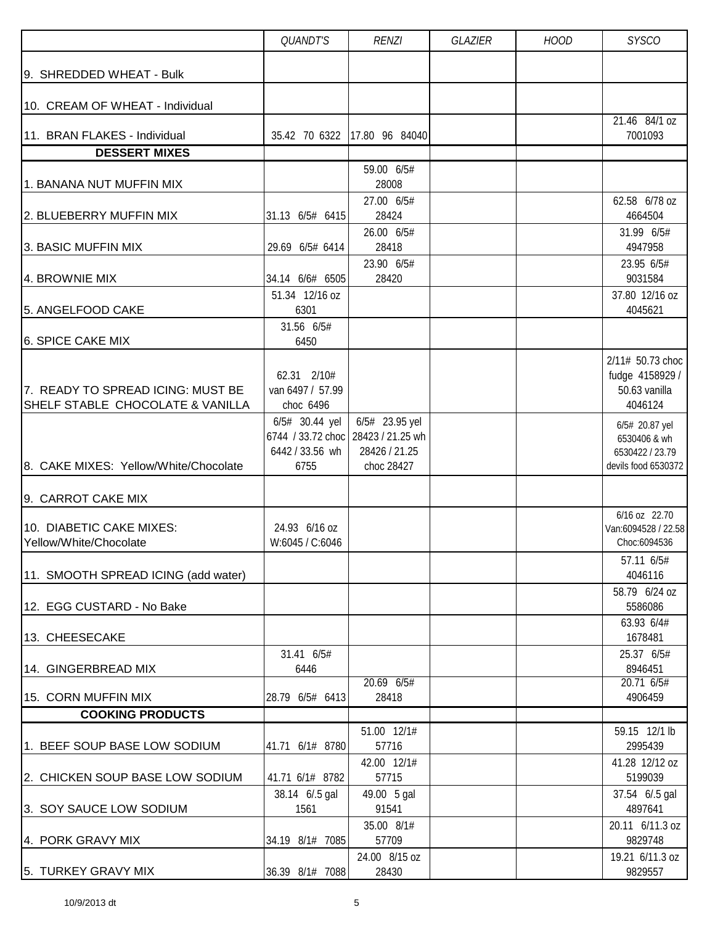|                                                                       | QUANDT'S                      | <b>RENZI</b>                 | <b>GLAZIER</b> | <b>HOOD</b> | <b>SYSCO</b>                   |
|-----------------------------------------------------------------------|-------------------------------|------------------------------|----------------|-------------|--------------------------------|
|                                                                       |                               |                              |                |             |                                |
| 9. SHREDDED WHEAT - Bulk                                              |                               |                              |                |             |                                |
| 10. CREAM OF WHEAT - Individual                                       |                               |                              |                |             |                                |
| 11. BRAN FLAKES - Individual                                          |                               | 35.42 70 6322 17.80 96 84040 |                |             | 21.46 84/1 oz<br>7001093       |
| <b>DESSERT MIXES</b>                                                  |                               |                              |                |             |                                |
|                                                                       |                               | 59.00 6/5#                   |                |             |                                |
| 1. BANANA NUT MUFFIN MIX                                              |                               | 28008                        |                |             |                                |
| 2. BLUEBERRY MUFFIN MIX                                               | 31.13 6/5# 6415               | 27.00 6/5#<br>28424          |                |             | 62.58 6/78 oz<br>4664504       |
|                                                                       |                               | 26.00 6/5#                   |                |             | 31.99 6/5#                     |
| 3. BASIC MUFFIN MIX                                                   | 29.69 6/5# 6414               | 28418                        |                |             | 4947958                        |
|                                                                       |                               | 23.90 6/5#                   |                |             | 23.95 6/5#                     |
| 4. BROWNIE MIX                                                        | 34.14 6/6# 6505               | 28420                        |                |             | 9031584                        |
| 5. ANGELFOOD CAKE                                                     | 51.34 12/16 oz<br>6301        |                              |                |             | 37.80 12/16 oz<br>4045621      |
|                                                                       | 31.56 6/5#                    |                              |                |             |                                |
| 6. SPICE CAKE MIX                                                     | 6450                          |                              |                |             |                                |
|                                                                       |                               |                              |                |             | 2/11# 50.73 choc               |
|                                                                       | 62.31 2/10#                   |                              |                |             | fudge 4158929 /                |
| 7. READY TO SPREAD ICING: MUST BE<br>SHELF STABLE CHOCOLATE & VANILLA | van 6497 / 57.99              |                              |                |             | 50.63 vanilla                  |
|                                                                       | choc 6496<br>$6/5#$ 30.44 yel | 6/5# 23.95 yel               |                |             | 4046124                        |
|                                                                       | 6744 / 33.72 choc             | 28423 / 21.25 wh             |                |             | 6/5# 20.87 yel<br>6530406 & wh |
|                                                                       | 6442 / 33.56 wh               | 28426 / 21.25                |                |             | 6530422 / 23.79                |
| 8. CAKE MIXES: Yellow/White/Chocolate                                 | 6755                          | choc 28427                   |                |             | devils food 6530372            |
|                                                                       |                               |                              |                |             |                                |
| 9. CARROT CAKE MIX                                                    |                               |                              |                |             | 6/16 oz 22.70                  |
| 10. DIABETIC CAKE MIXES:                                              | 24.93 6/16 oz                 |                              |                |             | Van:6094528 / 22.58            |
| Yellow/White/Chocolate                                                | W:6045 / C:6046               |                              |                |             | Choc:6094536                   |
|                                                                       |                               |                              |                |             | 57.11 6/5#                     |
| 11. SMOOTH SPREAD ICING (add water)                                   |                               |                              |                |             | 4046116                        |
| 12. EGG CUSTARD - No Bake                                             |                               |                              |                |             | 58.79 6/24 oz<br>5586086       |
|                                                                       |                               |                              |                |             | 63.93 6/4#                     |
| 13. CHEESECAKE                                                        |                               |                              |                |             | 1678481                        |
|                                                                       | 31.41 6/5#                    |                              |                |             | 25.37 6/5#                     |
| 14. GINGERBREAD MIX                                                   | 6446                          |                              |                |             | 8946451                        |
| 15. CORN MUFFIN MIX                                                   | 28.79 6/5# 6413               | 20.69 6/5#<br>28418          |                |             | 20.71 6/5#<br>4906459          |
| <b>COOKING PRODUCTS</b>                                               |                               |                              |                |             |                                |
|                                                                       |                               | 51.00 12/1#                  |                |             | 59.15 12/1 lb                  |
| 1. BEEF SOUP BASE LOW SODIUM                                          | 41.71 6/1# 8780               | 57716                        |                |             | 2995439                        |
|                                                                       |                               | 42.00 12/1#                  |                |             | 41.28 12/12 oz                 |
| 2. CHICKEN SOUP BASE LOW SODIUM                                       | 41.71 6/1# 8782               | 57715                        |                |             | 5199039                        |
| 3. SOY SAUCE LOW SODIUM                                               | 38.14 6/.5 gal<br>1561        | 49.00 5 gal<br>91541         |                |             | 37.54 6/.5 gal<br>4897641      |
|                                                                       |                               | 35.00 8/1#                   |                |             | 20.11 6/11.3 oz                |
| 4. PORK GRAVY MIX                                                     | 34.19 8/1# 7085               | 57709                        |                |             | 9829748                        |
|                                                                       |                               | 24.00 8/15 oz                |                |             | 19.21 6/11.3 oz                |
| 5. TURKEY GRAVY MIX                                                   | 36.39 8/1# 7088               | 28430                        |                |             | 9829557                        |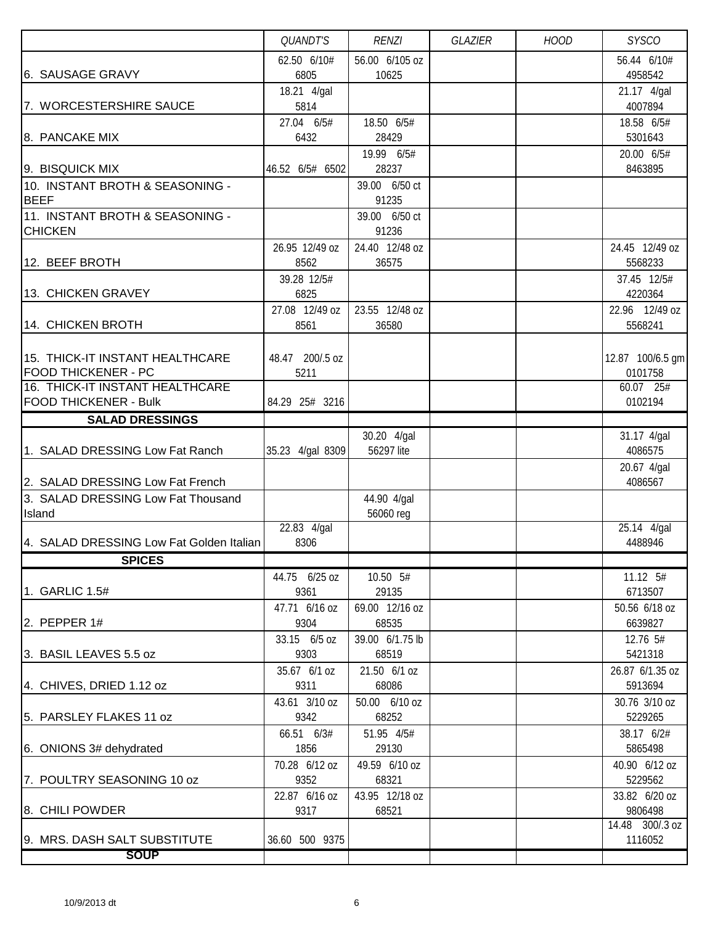|                                                                 | QUANDT'S              | <b>RENZI</b>           | <b>GLAZIER</b> | <b>HOOD</b> | <b>SYSCO</b>               |
|-----------------------------------------------------------------|-----------------------|------------------------|----------------|-------------|----------------------------|
|                                                                 | 62.50 6/10#           | 56.00 6/105 oz         |                |             | 56.44 6/10#                |
| 6. SAUSAGE GRAVY                                                | 6805                  | 10625                  |                |             | 4958542                    |
| 7. WORCESTERSHIRE SAUCE                                         | 18.21 4/gal<br>5814   |                        |                |             | 21.17 4/gal<br>4007894     |
|                                                                 | 27.04 6/5#            | 18.50 6/5#             |                |             | 18.58 6/5#                 |
| 8. PANCAKE MIX                                                  | 6432                  | 28429                  |                |             | 5301643                    |
|                                                                 |                       | 19.99 6/5#             |                |             | 20.00 6/5#                 |
| 9. BISQUICK MIX                                                 | 46.52 6/5# 6502       | 28237                  |                |             | 8463895                    |
| 10. INSTANT BROTH & SEASONING -<br><b>BEEF</b>                  |                       | 39.00 6/50 ct<br>91235 |                |             |                            |
| 11. INSTANT BROTH & SEASONING -<br><b>CHICKEN</b>               |                       | 39.00 6/50 ct<br>91236 |                |             |                            |
|                                                                 | 26.95 12/49 oz        | 24.40 12/48 oz         |                |             | 24.45 12/49 oz             |
| 12. BEEF BROTH                                                  | 8562                  | 36575                  |                |             | 5568233                    |
| 13. CHICKEN GRAVEY                                              | 39.28 12/5#<br>6825   |                        |                |             | 37.45 12/5#<br>4220364     |
|                                                                 | 27.08 12/49 oz        | 23.55 12/48 oz         |                |             | 22.96 12/49 oz             |
| 14. CHICKEN BROTH                                               | 8561                  | 36580                  |                |             | 5568241                    |
|                                                                 |                       |                        |                |             |                            |
| 15. THICK-IT INSTANT HEALTHCARE                                 | 48.47 200/.5 oz       |                        |                |             | 12.87 100/6.5 gm           |
| <b>FOOD THICKENER - PC</b>                                      | 5211                  |                        |                |             | 0101758                    |
| 16. THICK-IT INSTANT HEALTHCARE<br><b>FOOD THICKENER - Bulk</b> | 84.29 25# 3216        |                        |                |             | 60.07 25#<br>0102194       |
| <b>SALAD DRESSINGS</b>                                          |                       |                        |                |             |                            |
|                                                                 |                       | 30.20 4/gal            |                |             | 31.17 4/gal                |
| 1. SALAD DRESSING Low Fat Ranch                                 | 35.23 4/gal 8309      | 56297 lite             |                |             | 4086575                    |
| 2. SALAD DRESSING Low Fat French                                |                       |                        |                |             | 20.67 4/gal<br>4086567     |
| 3. SALAD DRESSING Low Fat Thousand                              |                       | 44.90 4/gal            |                |             |                            |
| Island                                                          |                       | 56060 reg              |                |             |                            |
|                                                                 | $22.83$ 4/gal         |                        |                |             | 25.14 4/gal                |
| 4. SALAD DRESSING Low Fat Golden Italian                        | 8306                  |                        |                |             | 4488946                    |
| <b>SPICES</b>                                                   |                       |                        |                |             |                            |
| 1. GARLIC 1.5#                                                  | 44.75 6/25 oz<br>9361 | 10.50 5#<br>29135      |                |             | $11.12\ 5#$<br>6713507     |
|                                                                 | 47.71 6/16 oz         | 69.00 12/16 oz         |                |             | 50.56 6/18 oz              |
| 2. PEPPER $1#$                                                  | 9304                  | 68535                  |                |             | 6639827                    |
|                                                                 | 33.15 6/5 oz          | 39.00 6/1.75 lb        |                |             | 12.76 5#                   |
| 3. BASIL LEAVES 5.5 oz                                          | 9303                  | 68519                  |                |             | 5421318                    |
| 4. CHIVES, DRIED 1.12 oz                                        | 35.67 6/1 oz<br>9311  | 21.50 6/1 oz<br>68086  |                |             | 26.87 6/1.35 oz<br>5913694 |
|                                                                 | 43.61 3/10 oz         | 50.00 6/10 oz          |                |             | 30.76 3/10 oz              |
| 5. PARSLEY FLAKES 11 oz                                         | 9342                  | 68252                  |                |             | 5229265                    |
|                                                                 | 66.51 6/3#            | 51.95 4/5#             |                |             | 38.17 6/2#                 |
| 6. ONIONS 3# dehydrated                                         | 1856<br>70.28 6/12 oz | 29130<br>49.59 6/10 oz |                |             | 5865498<br>40.90 6/12 oz   |
| 7. POULTRY SEASONING 10 oz                                      | 9352                  | 68321                  |                |             | 5229562                    |
|                                                                 | 22.87 6/16 oz         | 43.95 12/18 oz         |                |             | 33.82 6/20 oz              |
| 8. CHILI POWDER                                                 | 9317                  | 68521                  |                |             | 9806498                    |
| 9. MRS. DASH SALT SUBSTITUTE                                    | 36.60 500 9375        |                        |                |             | 14.48 300/.3 oz<br>1116052 |
| <b>SOUP</b>                                                     |                       |                        |                |             |                            |
|                                                                 |                       |                        |                |             |                            |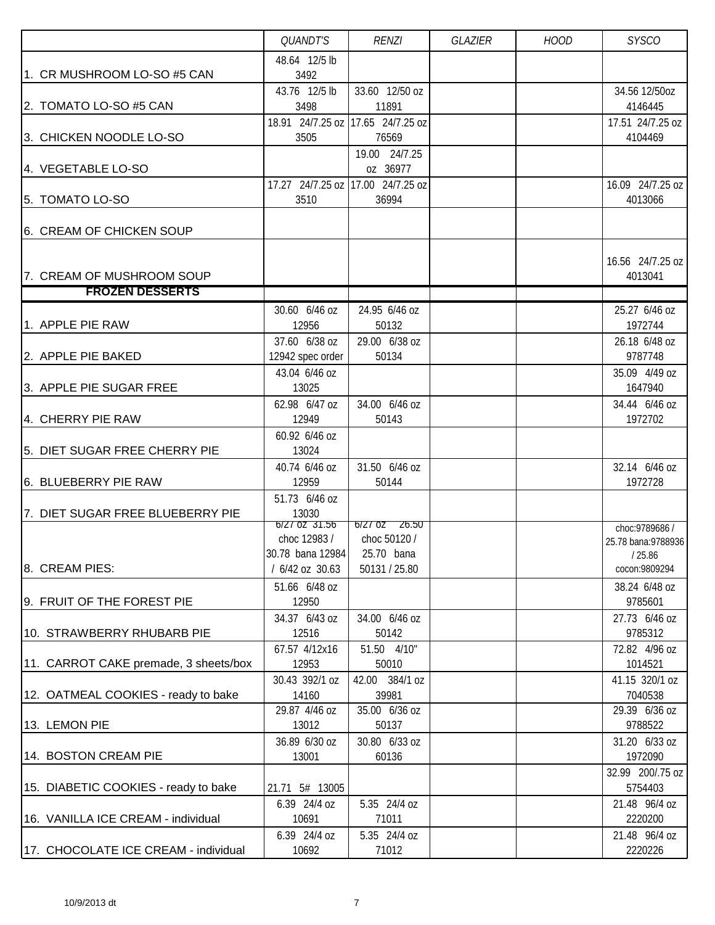|                                       | <b>QUANDT'S</b>                           | <b>RENZI</b>               | GLAZIER | <b>HOOD</b> | <b>SYSCO</b>                  |
|---------------------------------------|-------------------------------------------|----------------------------|---------|-------------|-------------------------------|
|                                       | 48.64 12/5 lb                             |                            |         |             |                               |
| 1. CR MUSHROOM LO-SO #5 CAN           | 3492                                      |                            |         |             |                               |
|                                       | 43.76 12/5 lb                             | 33.60 12/50 oz             |         |             | 34.56 12/50oz                 |
| 2. TOMATO LO-SO #5 CAN                | 3498<br>18.91 24/7.25 oz 17.65 24/7.25 oz | 11891                      |         |             | 4146445<br>17.51 24/7.25 oz   |
| 3. CHICKEN NOODLE LO-SO               | 3505                                      | 76569                      |         |             | 4104469                       |
|                                       |                                           | 19.00 24/7.25              |         |             |                               |
| 4. VEGETABLE LO-SO                    |                                           | oz 36977                   |         |             |                               |
|                                       | 17.27 24/7.25 oz 17.00 24/7.25 oz         |                            |         |             | 16.09 24/7.25 oz              |
| 5. TOMATO LO-SO                       | 3510                                      | 36994                      |         |             | 4013066                       |
|                                       |                                           |                            |         |             |                               |
| 6. CREAM OF CHICKEN SOUP              |                                           |                            |         |             |                               |
|                                       |                                           |                            |         |             |                               |
| 7. CREAM OF MUSHROOM SOUP             |                                           |                            |         |             | 16.56 24/7.25 oz<br>4013041   |
| <b>FROZEN DESSERTS</b>                |                                           |                            |         |             |                               |
|                                       | 30.60 6/46 oz                             | 24.95 6/46 oz              |         |             | 25.27 6/46 oz                 |
| 1. APPLE PIE RAW                      | 12956                                     | 50132                      |         |             | 1972744                       |
|                                       | 37.60 6/38 oz                             | 29.00 6/38 oz              |         |             | 26.18 6/48 oz                 |
| 2. APPLE PIE BAKED                    | 12942 spec order                          | 50134                      |         |             | 9787748                       |
|                                       | 43.04 6/46 oz                             |                            |         |             | 35.09 4/49 oz                 |
| 3. APPLE PIE SUGAR FREE               | 13025                                     |                            |         |             | 1647940                       |
|                                       | 62.98 6/47 oz                             | 34.00 6/46 oz              |         |             | 34.44 6/46 oz                 |
| 4. CHERRY PIE RAW                     | 12949                                     | 50143                      |         |             | 1972702                       |
| 5. DIET SUGAR FREE CHERRY PIE         | 60.92 6/46 oz                             |                            |         |             |                               |
|                                       | 13024<br>40.74 6/46 oz                    | 31.50 6/46 oz              |         |             | 32.14 6/46 oz                 |
| 6. BLUEBERRY PIE RAW                  | 12959                                     | 50144                      |         |             | 1972728                       |
|                                       | 51.73 6/46 oz                             |                            |         |             |                               |
| 7. DIET SUGAR FREE BLUEBERRY PIE      | 13030                                     |                            |         |             |                               |
|                                       | 6/2/0Z 31.56                              | $6/2/0Z$ $26.50$           |         |             | choc: 9789686 /               |
|                                       | choc 12983/<br>30.78 bana 12984           | choc 50120 /<br>25.70 bana |         |             | 25.78 bana: 9788936<br>/25.86 |
| 8. CREAM PIES:                        | / 6/42 oz 30.63                           | 50131 / 25.80              |         |             | cocon: 9809294                |
|                                       | 51.66 6/48 oz                             |                            |         |             | 38.24 6/48 oz                 |
| 9. FRUIT OF THE FOREST PIE            | 12950                                     |                            |         |             | 9785601                       |
|                                       | 34.37 6/43 oz                             | 34.00 6/46 oz              |         |             | 27.73 6/46 oz                 |
| 10. STRAWBERRY RHUBARB PIE            | 12516                                     | 50142                      |         |             | 9785312                       |
|                                       | 67.57 4/12x16                             | 51.50 4/10"                |         |             | 72.82 4/96 oz                 |
| 11. CARROT CAKE premade, 3 sheets/box | 12953                                     | 50010                      |         |             | 1014521                       |
|                                       | 30.43 392/1 oz                            | 42.00 384/1 oz             |         |             | 41.15 320/1 oz                |
| 12. OATMEAL COOKIES - ready to bake   | 14160<br>29.87 4/46 oz                    | 39981<br>35.00 6/36 oz     |         |             | 7040538<br>29.39 6/36 oz      |
| 13. LEMON PIE                         | 13012                                     | 50137                      |         |             | 9788522                       |
|                                       | 36.89 6/30 oz                             | 30.80 6/33 oz              |         |             | 31.20 6/33 oz                 |
| 14. BOSTON CREAM PIE                  | 13001                                     | 60136                      |         |             | 1972090                       |
|                                       |                                           |                            |         |             | 32.99 200/.75 oz              |
| 15. DIABETIC COOKIES - ready to bake  | 21.71 5# 13005                            |                            |         |             | 5754403                       |
|                                       | 6.39 24/4 oz                              | 5.35 24/4 oz               |         |             | 21.48 96/4 oz                 |
| 16. VANILLA ICE CREAM - individual    | 10691                                     | 71011                      |         |             | 2220200                       |
|                                       | 6.39 24/4 oz                              | 5.35 24/4 oz               |         |             | 21.48 96/4 oz                 |
| 17. CHOCOLATE ICE CREAM - individual  | 10692                                     | 71012                      |         |             | 2220226                       |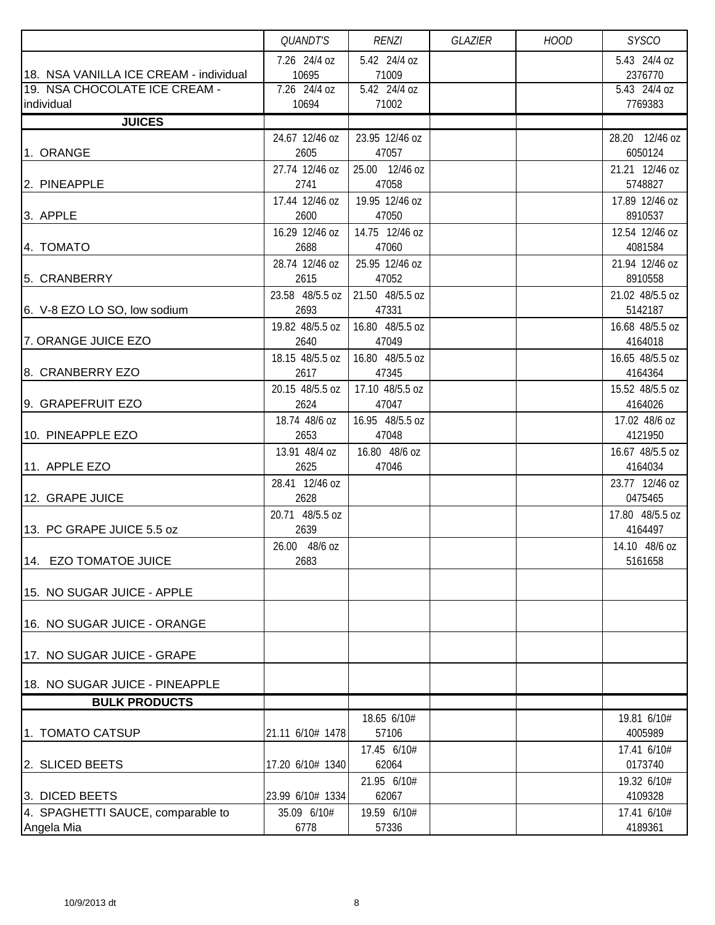|                                        | <b>QUANDT'S</b>        | <b>RENZI</b>            | <b>GLAZIER</b> | <b>HOOD</b> | <b>SYSCO</b>              |
|----------------------------------------|------------------------|-------------------------|----------------|-------------|---------------------------|
|                                        | 7.26 24/4 oz           | 5.42 24/4 oz            |                |             | 5.43 24/4 oz              |
| 18. NSA VANILLA ICE CREAM - individual | 10695                  | 71009                   |                |             | 2376770                   |
| 19. NSA CHOCOLATE ICE CREAM -          | 7.26 24/4 oz           | 5.42 24/4 oz            |                |             | 5.43 24/4 oz              |
| individual                             | 10694                  | 71002                   |                |             | 7769383                   |
| <b>JUICES</b>                          |                        |                         |                |             |                           |
|                                        | 24.67 12/46 oz         | 23.95 12/46 oz          |                |             | 28.20 12/46 oz            |
| 1. ORANGE                              | 2605                   | 47057                   |                |             | 6050124                   |
|                                        | 27.74 12/46 oz         | 25.00 12/46 oz          |                |             | 21.21 12/46 oz            |
| 2. PINEAPPLE                           | 2741                   | 47058                   |                |             | 5748827                   |
|                                        | 17.44 12/46 oz         | 19.95 12/46 oz          |                |             | 17.89 12/46 oz            |
| 3. APPLE                               | 2600                   | 47050<br>14.75 12/46 oz |                |             | 8910537                   |
| 4. TOMATO                              | 16.29 12/46 oz<br>2688 | 47060                   |                |             | 12.54 12/46 oz<br>4081584 |
|                                        | 28.74 12/46 oz         | 25.95 12/46 oz          |                |             | 21.94 12/46 oz            |
| 5. CRANBERRY                           | 2615                   | 47052                   |                |             | 8910558                   |
|                                        | 23.58 48/5.5 oz        | 21.50 48/5.5 oz         |                |             | 21.02 48/5.5 oz           |
| 6. V-8 EZO LO SO, low sodium           | 2693                   | 47331                   |                |             | 5142187                   |
|                                        | 19.82 48/5.5 oz        | 16.80 48/5.5 oz         |                |             | 16.68 48/5.5 oz           |
| 7. ORANGE JUICE EZO                    | 2640                   | 47049                   |                |             | 4164018                   |
|                                        | 18.15 48/5.5 oz        | 16.80 48/5.5 oz         |                |             | 16.65 48/5.5 oz           |
| 8. CRANBERRY EZO                       | 2617                   | 47345                   |                |             | 4164364                   |
|                                        | 20.15 48/5.5 oz        | 17.10 48/5.5 oz         |                |             | 15.52 48/5.5 oz           |
| 9. GRAPEFRUIT EZO                      | 2624                   | 47047                   |                |             | 4164026                   |
|                                        | 18.74 48/6 oz          | 16.95 48/5.5 oz         |                |             | 17.02 48/6 oz             |
| 10. PINEAPPLE EZO                      | 2653                   | 47048                   |                |             | 4121950                   |
|                                        | 13.91 48/4 oz          | 16.80 48/6 oz           |                |             | 16.67 48/5.5 oz           |
| 11. APPLE EZO                          | 2625                   | 47046                   |                |             | 4164034                   |
| 12. GRAPE JUICE                        | 28.41 12/46 oz<br>2628 |                         |                |             | 23.77 12/46 oz<br>0475465 |
|                                        | 20.71 48/5.5 oz        |                         |                |             | 17.80 48/5.5 oz           |
| 13. PC GRAPE JUICE 5.5 oz              | 2639                   |                         |                |             | 4164497                   |
|                                        | 26.00 48/6 oz          |                         |                |             | 14.10 48/6 oz             |
| 14. EZO TOMATOE JUICE                  | 2683                   |                         |                |             | 5161658                   |
|                                        |                        |                         |                |             |                           |
| 15. NO SUGAR JUICE - APPLE             |                        |                         |                |             |                           |
|                                        |                        |                         |                |             |                           |
| 16. NO SUGAR JUICE - ORANGE            |                        |                         |                |             |                           |
|                                        |                        |                         |                |             |                           |
| 17. NO SUGAR JUICE - GRAPE             |                        |                         |                |             |                           |
| 18. NO SUGAR JUICE - PINEAPPLE         |                        |                         |                |             |                           |
| <b>BULK PRODUCTS</b>                   |                        |                         |                |             |                           |
|                                        |                        | 18.65 6/10#             |                |             | 19.81 6/10#               |
| 1. TOMATO CATSUP                       | 21.11 6/10# 1478       | 57106                   |                |             | 4005989                   |
|                                        |                        | 17.45 6/10#             |                |             | 17.41 6/10#               |
| 2. SLICED BEETS                        | 17.20 6/10# 1340       | 62064                   |                |             | 0173740                   |
|                                        |                        | 21.95 6/10#             |                |             | 19.32 6/10#               |
| 3. DICED BEETS                         | 23.99 6/10# 1334       | 62067                   |                |             | 4109328                   |
| 4. SPAGHETTI SAUCE, comparable to      | 35.09 6/10#            | 19.59 6/10#             |                |             | 17.41 6/10#               |
| Angela Mia                             | 6778                   | 57336                   |                |             | 4189361                   |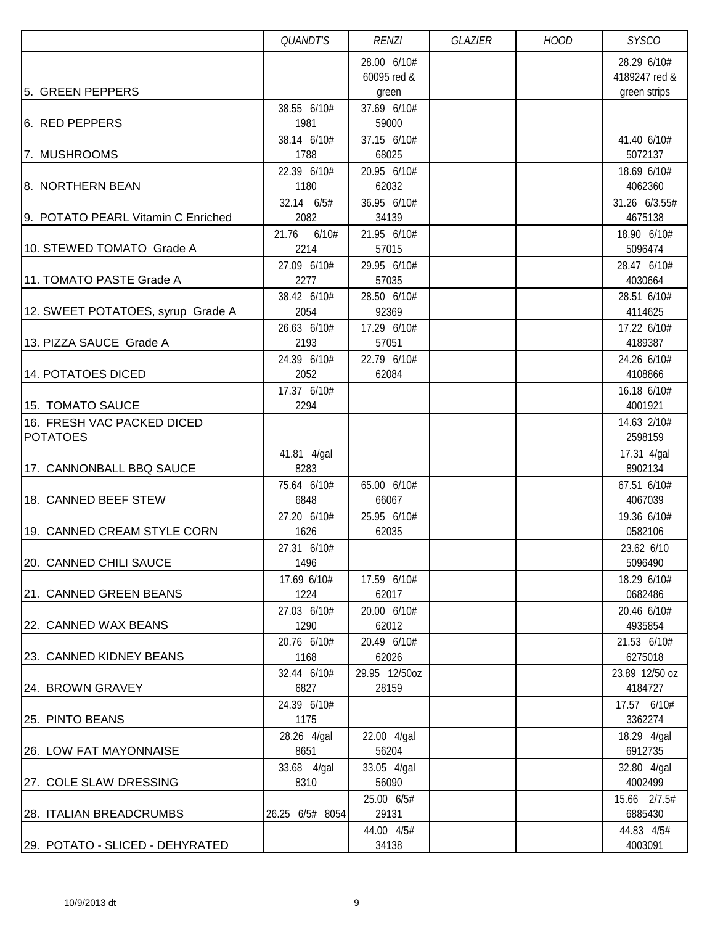|                                               | QUANDT'S               | <b>RENZI</b>         | <b>GLAZIER</b> | <b>HOOD</b> | <b>SYSCO</b>             |
|-----------------------------------------------|------------------------|----------------------|----------------|-------------|--------------------------|
|                                               |                        | 28.00 6/10#          |                |             | 28.29 6/10#              |
|                                               |                        | 60095 red &          |                |             | 4189247 red &            |
| 5. GREEN PEPPERS                              |                        | green                |                |             | green strips             |
| 6. RED PEPPERS                                | 38.55 6/10#<br>1981    | 37.69 6/10#<br>59000 |                |             |                          |
| 7. MUSHROOMS                                  | 38.14 6/10#<br>1788    | 37.15 6/10#<br>68025 |                |             | 41.40 6/10#<br>5072137   |
| 8. NORTHERN BEAN                              | 22.39 6/10#<br>1180    | 20.95 6/10#<br>62032 |                |             | 18.69 6/10#<br>4062360   |
| 9. POTATO PEARL Vitamin C Enriched            | 32.14 6/5#<br>2082     | 36.95 6/10#<br>34139 |                |             | 31.26 6/3.55#<br>4675138 |
| 10. STEWED TOMATO Grade A                     | 21.76<br>6/10#<br>2214 | 21.95 6/10#<br>57015 |                |             | 18.90 6/10#<br>5096474   |
| 11. TOMATO PASTE Grade A                      | 27.09 6/10#<br>2277    | 29.95 6/10#<br>57035 |                |             | 28.47 6/10#<br>4030664   |
|                                               | 38.42 6/10#            | 28.50 6/10#          |                |             | 28.51 6/10#              |
| 12. SWEET POTATOES, syrup Grade A             | 2054<br>26.63 6/10#    | 92369<br>17.29 6/10# |                |             | 4114625<br>17.22 6/10#   |
| 13. PIZZA SAUCE Grade A                       | 2193                   | 57051                |                |             | 4189387                  |
|                                               | 24.39 6/10#            | 22.79 6/10#          |                |             | 24.26 6/10#              |
| 14. POTATOES DICED                            | 2052                   | 62084                |                |             | 4108866                  |
|                                               | 17.37 6/10#            |                      |                |             | 16.18 6/10#              |
| 15. TOMATO SAUCE                              | 2294                   |                      |                |             | 4001921                  |
| 16. FRESH VAC PACKED DICED<br><b>POTATOES</b> |                        |                      |                |             | 14.63 2/10#<br>2598159   |
|                                               | 41.81 4/gal            |                      |                |             | 17.31 4/gal              |
| 17. CANNONBALL BBQ SAUCE                      | 8283                   |                      |                |             | 8902134                  |
| 18. CANNED BEEF STEW                          | 75.64 6/10#<br>6848    | 65.00 6/10#<br>66067 |                |             | 67.51 6/10#<br>4067039   |
|                                               | 27.20 6/10#            | 25.95 6/10#          |                |             | 19.36 6/10#              |
| 19. CANNED CREAM STYLE CORN                   | 1626                   | 62035                |                |             | 0582106                  |
| 20. CANNED CHILI SAUCE                        | 27.31 6/10#<br>1496    |                      |                |             | 23.62 6/10<br>5096490    |
|                                               | 17.69 6/10#            | 17.59 6/10#          |                |             | 18.29 6/10#              |
| 21. CANNED GREEN BEANS                        | 1224                   | 62017                |                |             | 0682486                  |
|                                               | 27.03 6/10#            | 20.00 6/10#          |                |             | 20.46 6/10#              |
| 22. CANNED WAX BEANS                          | 1290                   | 62012                |                |             | 4935854                  |
| 23. CANNED KIDNEY BEANS                       | 20.76 6/10#<br>1168    | 20.49 6/10#<br>62026 |                |             | 21.53 6/10#<br>6275018   |
|                                               | 32.44 6/10#            | 29.95 12/50oz        |                |             | 23.89 12/50 oz           |
| 24. BROWN GRAVEY                              | 6827                   | 28159                |                |             | 4184727                  |
|                                               | 24.39 6/10#            |                      |                |             | 17.57 6/10#              |
| 25. PINTO BEANS                               | 1175                   |                      |                |             | 3362274                  |
| 26. LOW FAT MAYONNAISE                        | 28.26 4/gal<br>8651    | 22.00 4/gal<br>56204 |                |             | 18.29 4/gal<br>6912735   |
|                                               | 33.68 4/gal            | 33.05 4/gal          |                |             | 32.80 4/gal              |
| 27. COLE SLAW DRESSING                        | 8310                   | 56090                |                |             | 4002499                  |
| 28. ITALIAN BREADCRUMBS                       | 26.25 6/5# 8054        | 25.00 6/5#<br>29131  |                |             | 15.66 2/7.5#<br>6885430  |
|                                               |                        | 44.00 4/5#           |                |             | 44.83 4/5#               |
| 29. POTATO - SLICED - DEHYRATED               |                        | 34138                |                |             | 4003091                  |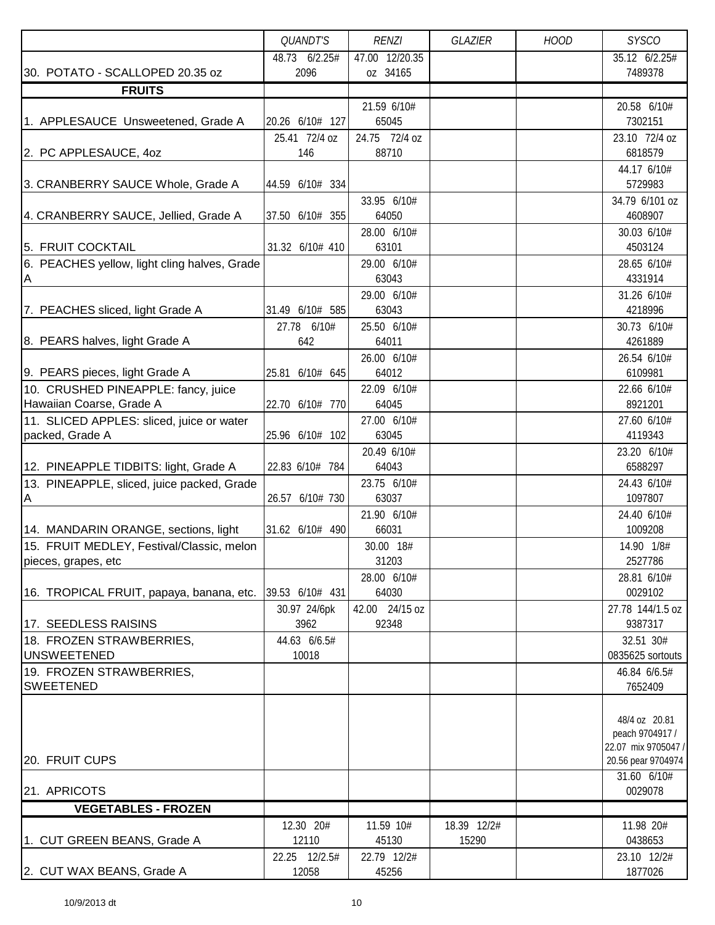|                                                 | QUANDT'S        | <b>RENZI</b>         | GLAZIER     | <b>HOOD</b> | <b>SYSCO</b>                     |
|-------------------------------------------------|-----------------|----------------------|-------------|-------------|----------------------------------|
|                                                 | 48.73 6/2.25#   | 47.00 12/20.35       |             |             | 35.12 6/2.25#                    |
| 30. POTATO - SCALLOPED 20.35 oz                 | 2096            | oz 34165             |             |             | 7489378                          |
| <b>FRUITS</b>                                   |                 |                      |             |             |                                  |
|                                                 |                 | 21.59 6/10#          |             |             | 20.58 6/10#                      |
| 1. APPLESAUCE Unsweetened, Grade A              | 20.26 6/10# 127 | 65045                |             |             | 7302151                          |
|                                                 | 25.41 72/4 oz   | 24.75 72/4 oz        |             |             | 23.10 72/4 oz                    |
| 2. PC APPLESAUCE, 4oz                           | 146             | 88710                |             |             | 6818579                          |
|                                                 |                 |                      |             |             | 44.17 6/10#<br>5729983           |
| 3. CRANBERRY SAUCE Whole, Grade A               | 44.59 6/10# 334 | 33.95 6/10#          |             |             | 34.79 6/101 oz                   |
| 4. CRANBERRY SAUCE, Jellied, Grade A            | 37.50 6/10# 355 | 64050                |             |             | 4608907                          |
|                                                 |                 | 28.00 6/10#          |             |             | 30.03 6/10#                      |
| 5. FRUIT COCKTAIL                               | 31.32 6/10# 410 | 63101                |             |             | 4503124                          |
| 6. PEACHES yellow, light cling halves, Grade    |                 | 29.00 6/10#          |             |             | 28.65 6/10#                      |
| A                                               |                 | 63043                |             |             | 4331914                          |
|                                                 |                 | 29.00 6/10#          |             |             | 31.26 6/10#                      |
| 7. PEACHES sliced, light Grade A                | 31.49 6/10# 585 | 63043                |             |             | 4218996                          |
|                                                 | 27.78 6/10#     | 25.50 6/10#          |             |             | 30.73 6/10#                      |
| 8. PEARS halves, light Grade A                  | 642             | 64011                |             |             | 4261889                          |
|                                                 |                 | 26.00 6/10#          |             |             | 26.54 6/10#                      |
| 9. PEARS pieces, light Grade A                  | 25.81 6/10# 645 | 64012                |             |             | 6109981                          |
| 10. CRUSHED PINEAPPLE: fancy, juice             |                 | 22.09 6/10#          |             |             | 22.66 6/10#                      |
| Hawaiian Coarse, Grade A                        | 22.70 6/10# 770 | 64045                |             |             | 8921201                          |
| 11. SLICED APPLES: sliced, juice or water       |                 | 27.00 6/10#          |             |             | 27.60 6/10#                      |
| packed, Grade A                                 | 25.96 6/10# 102 | 63045                |             |             | 4119343                          |
|                                                 |                 | 20.49 6/10#          |             |             | 23.20 6/10#                      |
| 12. PINEAPPLE TIDBITS: light, Grade A           | 22.83 6/10# 784 | 64043<br>23.75 6/10# |             |             | 6588297<br>24.43 6/10#           |
| 13. PINEAPPLE, sliced, juice packed, Grade<br>A | 26.57 6/10# 730 | 63037                |             |             | 1097807                          |
|                                                 |                 | 21.90 6/10#          |             |             | 24.40 6/10#                      |
| 14. MANDARIN ORANGE, sections, light            | 31.62 6/10# 490 | 66031                |             |             | 1009208                          |
| 15. FRUIT MEDLEY, Festival/Classic, melon       |                 | 30.00 18#            |             |             | 14.90 1/8#                       |
| pieces, grapes, etc                             |                 | 31203                |             |             | 2527786                          |
|                                                 |                 | 28.00 6/10#          |             |             | 28.81 6/10#                      |
| 16. TROPICAL FRUIT, papaya, banana, etc.        | 39.53 6/10# 431 | 64030                |             |             | 0029102                          |
|                                                 | 30.97 24/6pk    | 42.00 24/15 oz       |             |             | 27.78 144/1.5 oz                 |
| 17. SEEDLESS RAISINS                            | 3962            | 92348                |             |             | 9387317                          |
| 18. FROZEN STRAWBERRIES,                        | 44.63 6/6.5#    |                      |             |             | 32.51 30#                        |
| <b>UNSWEETENED</b>                              | 10018           |                      |             |             | 0835625 sortouts                 |
| 19. FROZEN STRAWBERRIES,                        |                 |                      |             |             | 46.84 6/6.5#                     |
| <b>SWEETENED</b>                                |                 |                      |             |             | 7652409                          |
|                                                 |                 |                      |             |             |                                  |
|                                                 |                 |                      |             |             | 48/4 oz 20.81<br>peach 9704917 / |
|                                                 |                 |                      |             |             | 22.07 mix 9705047 /              |
| 20. FRUIT CUPS                                  |                 |                      |             |             | 20.56 pear 9704974               |
|                                                 |                 |                      |             |             | 31.60 6/10#                      |
| 21. APRICOTS                                    |                 |                      |             |             | 0029078                          |
| <b>VEGETABLES - FROZEN</b>                      |                 |                      |             |             |                                  |
|                                                 | 12.30 20#       | 11.59 10#            | 18.39 12/2# |             | 11.98 20#                        |
| 1. CUT GREEN BEANS, Grade A                     | 12110           | 45130                | 15290       |             | 0438653                          |
|                                                 | 22.25 12/2.5#   | 22.79 12/2#          |             |             | 23.10 12/2#                      |
| 2. CUT WAX BEANS, Grade A                       | 12058           | 45256                |             |             | 1877026                          |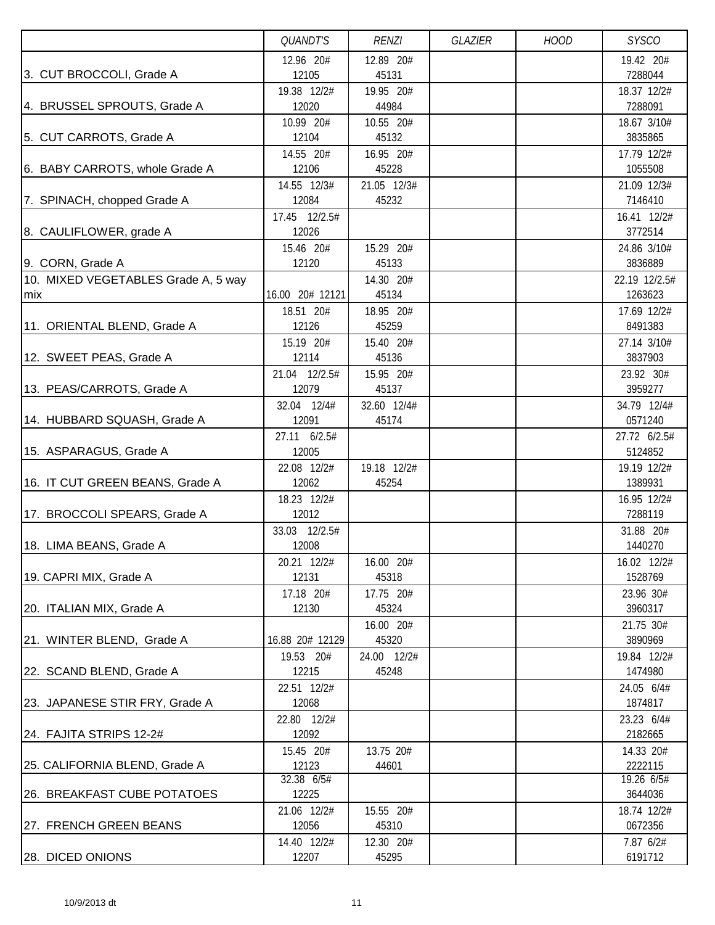|                                     | QUANDT'S        | <b>RENZI</b> | GLAZIER | <b>HOOD</b> | <b>SYSCO</b>  |
|-------------------------------------|-----------------|--------------|---------|-------------|---------------|
|                                     | 12.96 20#       | 12.89 20#    |         |             | 19.42 20#     |
| 3. CUT BROCCOLI, Grade A            | 12105           | 45131        |         |             | 7288044       |
|                                     | 19.38 12/2#     | 19.95 20#    |         |             | 18.37 12/2#   |
| 4. BRUSSEL SPROUTS, Grade A         | 12020           | 44984        |         |             | 7288091       |
|                                     | 10.99 20#       | 10.55 20#    |         |             | 18.67 3/10#   |
| 5. CUT CARROTS, Grade A             | 12104           | 45132        |         |             | 3835865       |
|                                     | 14.55 20#       | 16.95 20#    |         |             | 17.79 12/2#   |
| 6. BABY CARROTS, whole Grade A      | 12106           | 45228        |         |             | 1055508       |
|                                     | 14.55 12/3#     | 21.05 12/3#  |         |             | 21.09 12/3#   |
| 7. SPINACH, chopped Grade A         | 12084           | 45232        |         |             | 7146410       |
|                                     | 17.45 12/2.5#   |              |         |             | 16.41 12/2#   |
| 8. CAULIFLOWER, grade A             | 12026           |              |         |             | 3772514       |
|                                     | 15.46 20#       | 15.29 20#    |         |             | 24.86 3/10#   |
| 9. CORN, Grade A                    | 12120           | 45133        |         |             | 3836889       |
| 10. MIXED VEGETABLES Grade A, 5 way |                 | 14.30 20#    |         |             | 22.19 12/2.5# |
| mix                                 | 16.00 20# 12121 | 45134        |         |             | 1263623       |
|                                     | 18.51 20#       | 18.95 20#    |         |             | 17.69 12/2#   |
| 11. ORIENTAL BLEND, Grade A         | 12126           | 45259        |         |             | 8491383       |
|                                     | 15.19 20#       | 15.40 20#    |         |             | 27.14 3/10#   |
| 12. SWEET PEAS, Grade A             | 12114           | 45136        |         |             | 3837903       |
|                                     | 21.04 12/2.5#   | 15.95 20#    |         |             | 23.92 30#     |
| 13. PEAS/CARROTS, Grade A           | 12079           | 45137        |         |             | 3959277       |
|                                     | 32.04 12/4#     | 32.60 12/4#  |         |             | 34.79 12/4#   |
| 14. HUBBARD SQUASH, Grade A         | 12091           | 45174        |         |             | 0571240       |
|                                     | 27.11 6/2.5#    |              |         |             | 27.72 6/2.5#  |
| 15. ASPARAGUS, Grade A              | 12005           |              |         |             | 5124852       |
|                                     | 22.08 12/2#     | 19.18 12/2#  |         |             | 19.19 12/2#   |
| 16. IT CUT GREEN BEANS, Grade A     | 12062           | 45254        |         |             | 1389931       |
|                                     | 18.23 12/2#     |              |         |             | 16.95 12/2#   |
| 17. BROCCOLI SPEARS, Grade A        | 12012           |              |         |             | 7288119       |
|                                     | 33.03 12/2.5#   |              |         |             | 31.88 20#     |
| 18. LIMA BEANS, Grade A             | 12008           |              |         |             | 1440270       |
|                                     | 20.21 12/2#     | 16.00 20#    |         |             | 16.02 12/2#   |
| 19. CAPRI MIX, Grade A              | 12131           | 45318        |         |             | 1528769       |
|                                     | 17.18 20#       | 17.75 20#    |         |             | 23.96 30#     |
| 20. ITALIAN MIX, Grade A            | 12130           | 45324        |         |             | 3960317       |
|                                     |                 | 16.00 20#    |         |             | 21.75 30#     |
| 21. WINTER BLEND, Grade A           | 16.88 20# 12129 | 45320        |         |             | 3890969       |
|                                     | 19.53 20#       | 24.00 12/2#  |         |             | 19.84 12/2#   |
| 22. SCAND BLEND, Grade A            | 12215           | 45248        |         |             | 1474980       |
|                                     | 22.51 12/2#     |              |         |             | 24.05 6/4#    |
| 23. JAPANESE STIR FRY, Grade A      | 12068           |              |         |             | 1874817       |
|                                     | 22.80 12/2#     |              |         |             | 23.23 6/4#    |
| 24. FAJITA STRIPS 12-2#             | 12092           |              |         |             | 2182665       |
|                                     | 15.45 20#       | 13.75 20#    |         |             | 14.33 20#     |
| 25. CALIFORNIA BLEND, Grade A       | 12123           | 44601        |         |             | 2222115       |
|                                     | 32.38 6/5#      |              |         |             | 19.26 6/5#    |
| 26. BREAKFAST CUBE POTATOES         | 12225           |              |         |             | 3644036       |
|                                     | 21.06 12/2#     | 15.55 20#    |         |             | 18.74 12/2#   |
| 27. FRENCH GREEN BEANS              | 12056           | 45310        |         |             | 0672356       |
|                                     | 14.40 12/2#     | 12.30 20#    |         |             | 7.87 6/2#     |
| 28. DICED ONIONS                    | 12207           | 45295        |         |             | 6191712       |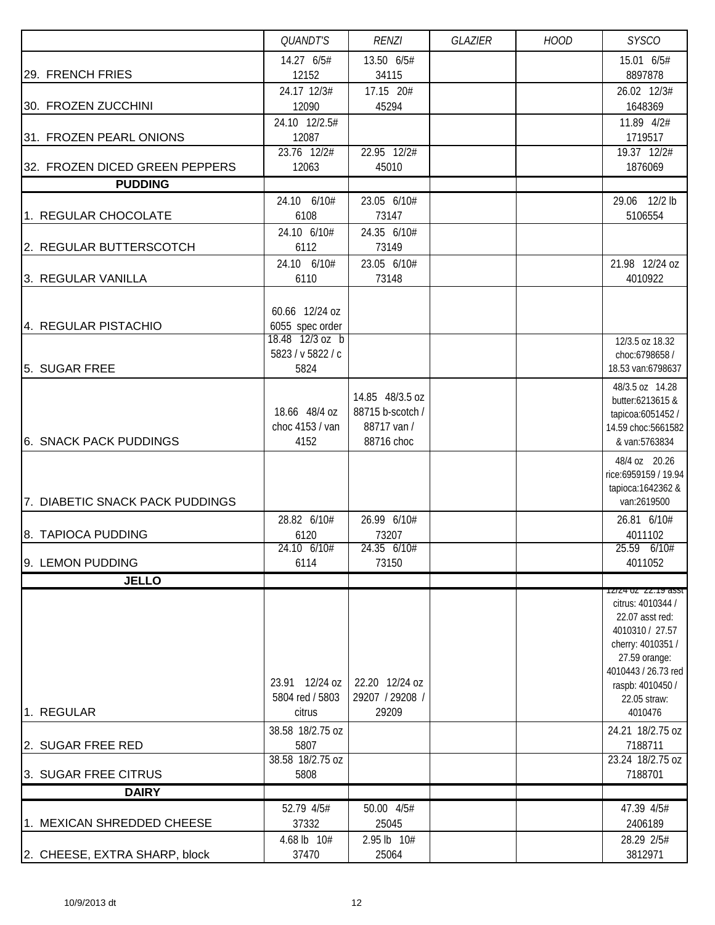|                                 | QUANDT'S                          | <b>RENZI</b>                    | <b>GLAZIER</b> | <b>HOOD</b> | <b>SYSCO</b>                             |
|---------------------------------|-----------------------------------|---------------------------------|----------------|-------------|------------------------------------------|
|                                 | 14.27 6/5#                        | 13.50 6/5#                      |                |             | 15.01 6/5#                               |
| 29. FRENCH FRIES                | 12152                             | 34115                           |                |             | 8897878                                  |
|                                 | 24.17 12/3#                       | 17.15 20#                       |                |             | 26.02 12/3#                              |
| 30. FROZEN ZUCCHINI             | 12090                             | 45294                           |                |             | 1648369                                  |
|                                 | 24.10 12/2.5#                     |                                 |                |             | 11.89 4/2#                               |
| 31. FROZEN PEARL ONIONS         | 12087<br>23.76 12/2#              | 22.95 12/2#                     |                |             | 1719517<br>19.37 12/2#                   |
| 32. FROZEN DICED GREEN PEPPERS  | 12063                             | 45010                           |                |             | 1876069                                  |
| <b>PUDDING</b>                  |                                   |                                 |                |             |                                          |
|                                 | 24.10 6/10#                       | 23.05 6/10#                     |                |             | 29.06 12/2 lb                            |
| 1. REGULAR CHOCOLATE            | 6108                              | 73147                           |                |             | 5106554                                  |
|                                 | 24.10 6/10#                       | 24.35 6/10#                     |                |             |                                          |
| 2. REGULAR BUTTERSCOTCH         | 6112                              | 73149                           |                |             |                                          |
|                                 | 24.10 6/10#                       | 23.05 6/10#                     |                |             | 21.98 12/24 oz                           |
| 3. REGULAR VANILLA              | 6110                              | 73148                           |                |             | 4010922                                  |
|                                 |                                   |                                 |                |             |                                          |
| 4. REGULAR PISTACHIO            | 60.66 12/24 oz<br>6055 spec order |                                 |                |             |                                          |
|                                 | 18.48 12/3 oz b                   |                                 |                |             | 12/3.5 oz 18.32                          |
|                                 | 5823 / v 5822 / c                 |                                 |                |             | choc:6798658 /                           |
| 5. SUGAR FREE                   | 5824                              |                                 |                |             | 18.53 van:6798637                        |
|                                 |                                   |                                 |                |             | 48/3.5 oz 14.28                          |
|                                 |                                   | 14.85 48/3.5 oz                 |                |             | butter:6213615 &                         |
|                                 | 18.66 48/4 oz<br>choc 4153 / van  | 88715 b-scotch /<br>88717 van / |                |             | tapicoa:6051452 /<br>14.59 choc: 5661582 |
| 6. SNACK PACK PUDDINGS          | 4152                              | 88716 choc                      |                |             | & van:5763834                            |
|                                 |                                   |                                 |                |             | 48/4 oz 20.26                            |
|                                 |                                   |                                 |                |             | rice:6959159 / 19.94                     |
|                                 |                                   |                                 |                |             | tapioca: 1642362 &                       |
| 7. DIABETIC SNACK PACK PUDDINGS |                                   |                                 |                |             | van:2619500                              |
|                                 | 28.82 6/10#                       | 26.99 6/10#                     |                |             | 26.81 6/10#                              |
| 8. TAPIOCA PUDDING              | 6120                              | 73207                           |                |             | 4011102                                  |
| 9. LEMON PUDDING                | 24.10 6/10#<br>6114               | 24.35 6/10#<br>73150            |                |             | 25.59 6/10#<br>4011052                   |
| <b>JELLO</b>                    |                                   |                                 |                |             |                                          |
|                                 |                                   |                                 |                |             | 12/24 UZ 22.19 dSSL                      |
|                                 |                                   |                                 |                |             | citrus: 4010344 /                        |
|                                 |                                   |                                 |                |             | 22.07 asst red:<br>4010310 / 27.57       |
|                                 |                                   |                                 |                |             | cherry: 4010351 /                        |
|                                 |                                   |                                 |                |             | 27.59 orange:                            |
|                                 |                                   |                                 |                |             | 4010443 / 26.73 red                      |
|                                 | 23.91 12/24 oz<br>5804 red / 5803 | 22.20 12/24 oz                  |                |             | raspb: 4010450/                          |
| 1. REGULAR                      | citrus                            | 29207 / 29208 /<br>29209        |                |             | 22.05 straw:<br>4010476                  |
|                                 | 38.58 18/2.75 oz                  |                                 |                |             | 24.21 18/2.75 oz                         |
| 2. SUGAR FREE RED               | 5807                              |                                 |                |             | 7188711                                  |
|                                 | 38.58 18/2.75 oz                  |                                 |                |             | 23.24 18/2.75 oz                         |
| 3. SUGAR FREE CITRUS            | 5808                              |                                 |                |             | 7188701                                  |
| <b>DAIRY</b>                    |                                   |                                 |                |             |                                          |
|                                 | 52.79 4/5#                        | 50.00 4/5#                      |                |             | 47.39 4/5#                               |
| 1. MEXICAN SHREDDED CHEESE      | 37332                             | 25045                           |                |             | 2406189                                  |
|                                 | 4.68 lb 10#                       | 2.95 lb 10#                     |                |             | 28.29 2/5#                               |
| 2. CHEESE, EXTRA SHARP, block   | 37470                             | 25064                           |                |             | 3812971                                  |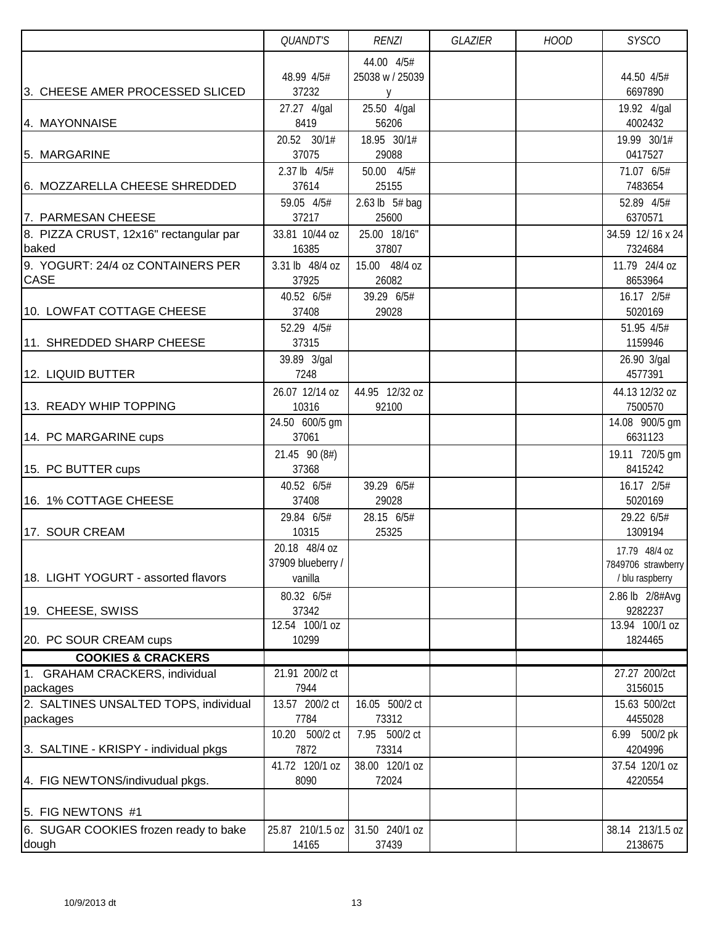|                                                | QUANDT'S                  | <b>RENZI</b>            | GLAZIER | <b>HOOD</b> | <b>SYSCO</b>                |
|------------------------------------------------|---------------------------|-------------------------|---------|-------------|-----------------------------|
|                                                |                           | 44.00 4/5#              |         |             |                             |
|                                                | 48.99 4/5#                | 25038 w / 25039         |         |             | 44.50 4/5#                  |
| 3. CHEESE AMER PROCESSED SLICED                | 37232                     | y                       |         |             | 6697890                     |
|                                                | 27.27 4/gal               | 25.50 4/gal             |         |             | 19.92 4/gal                 |
| 4. MAYONNAISE                                  | 8419                      | 56206                   |         |             | 4002432                     |
|                                                | 20.52 30/1#               | 18.95 30/1#             |         |             | 19.99 30/1#                 |
| 5. MARGARINE                                   | 37075                     | 29088                   |         |             | 0417527                     |
|                                                | 2.37 lb 4/5#              | 50.00 4/5#              |         |             | 71.07 6/5#                  |
| 6. MOZZARELLA CHEESE SHREDDED                  | 37614                     | 25155                   |         |             | 7483654                     |
|                                                | 59.05 4/5#                | 2.63 lb $5#$ bag        |         |             | 52.89 4/5#                  |
| 7. PARMESAN CHEESE                             | 37217                     | 25600                   |         |             | 6370571                     |
| 8. PIZZA CRUST, 12x16" rectangular par         | 33.81 10/44 oz            | 25.00 18/16"            |         |             | 34.59 12/16 x 24            |
| baked                                          | 16385                     | 37807                   |         |             | 7324684                     |
| 9. YOGURT: 24/4 oz CONTAINERS PER              | 3.31 lb 48/4 oz           | 15.00 48/4 oz           |         |             | 11.79 24/4 oz               |
| <b>CASE</b>                                    | 37925                     | 26082                   |         |             | 8653964                     |
|                                                | 40.52 6/5#                | 39.29 6/5#              |         |             | 16.17 2/5#                  |
| 10. LOWFAT COTTAGE CHEESE                      | 37408                     | 29028                   |         |             | 5020169                     |
|                                                | 52.29 4/5#                |                         |         |             | 51.95 4/5#                  |
| 11. SHREDDED SHARP CHEESE                      | 37315                     |                         |         |             | 1159946                     |
|                                                | 39.89 3/gal               |                         |         |             | 26.90 3/gal                 |
| 12. LIQUID BUTTER                              | 7248                      |                         |         |             | 4577391                     |
|                                                | 26.07 12/14 oz            | 44.95 12/32 oz          |         |             | 44.13 12/32 oz              |
| 13. READY WHIP TOPPING                         | 10316                     | 92100                   |         |             | 7500570                     |
|                                                | 24.50 600/5 gm            |                         |         |             | 14.08 900/5 gm              |
| 14. PC MARGARINE cups                          | 37061                     |                         |         |             | 6631123                     |
|                                                | 21.45 90 (8#)             |                         |         |             | 19.11 720/5 gm              |
| 15. PC BUTTER cups                             | 37368                     |                         |         |             | 8415242                     |
|                                                | 40.52 6/5#                | 39.29 6/5#              |         |             | 16.17 2/5#                  |
| 16. 1% COTTAGE CHEESE                          | 37408                     | 29028                   |         |             | 5020169                     |
|                                                | 29.84 6/5#                | 28.15 6/5#              |         |             | 29.22 6/5#                  |
| 17. SOUR CREAM                                 | 10315                     | 25325                   |         |             | 1309194                     |
|                                                | 20.18 48/4 oz             |                         |         |             | 17.79 48/4 oz               |
|                                                | 37909 blueberry /         |                         |         |             | 7849706 strawberry          |
| 18. LIGHT YOGURT - assorted flavors            | vanilla                   |                         |         |             | / blu raspberry             |
|                                                | 80.32 6/5#                |                         |         |             | 2.86 lb 2/8#Avg             |
| 19. CHEESE, SWISS                              | 37342                     |                         |         |             | 9282237                     |
|                                                | 12.54 100/1 oz            |                         |         |             | 13.94 100/1 oz              |
| 20. PC SOUR CREAM cups                         | 10299                     |                         |         |             | 1824465                     |
| <b>COOKIES &amp; CRACKERS</b>                  |                           |                         |         |             |                             |
| 1. GRAHAM CRACKERS, individual                 | 21.91 200/2 ct            |                         |         |             | 27.27 200/2ct               |
| packages                                       | 7944                      |                         |         |             | 3156015                     |
| 2. SALTINES UNSALTED TOPS, individual          | 13.57 200/2 ct            | 16.05 500/2 ct          |         |             | 15.63 500/2ct               |
| packages                                       | 7784                      | 73312                   |         |             | 4455028                     |
|                                                | 10.20 500/2 ct            | 7.95 500/2 ct           |         |             | 6.99 500/2 pk               |
| 3. SALTINE - KRISPY - individual pkgs          | 7872                      | 73314                   |         |             | 4204996                     |
|                                                | 41.72 120/1 oz<br>8090    | 38.00 120/1 oz<br>72024 |         |             | 37.54 120/1 oz<br>4220554   |
| 4. FIG NEWTONS/indivudual pkgs.                |                           |                         |         |             |                             |
| 5. FIG NEWTONS #1                              |                           |                         |         |             |                             |
|                                                |                           |                         |         |             |                             |
| 6. SUGAR COOKIES frozen ready to bake<br>dough | 25.87 210/1.5 oz<br>14165 | 31.50 240/1 oz<br>37439 |         |             | 38.14 213/1.5 oz<br>2138675 |
|                                                |                           |                         |         |             |                             |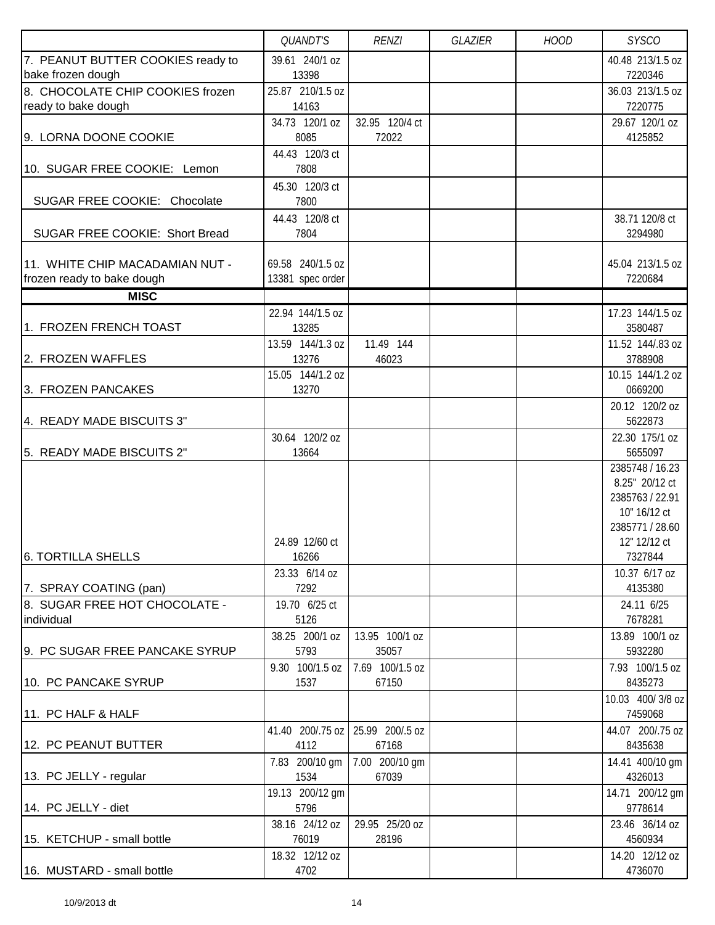|                                   | QUANDT'S                           | <b>RENZI</b>    | <b>GLAZIER</b> | <b>HOOD</b> | <b>SYSCO</b>     |
|-----------------------------------|------------------------------------|-----------------|----------------|-------------|------------------|
| 7. PEANUT BUTTER COOKIES ready to | 39.61 240/1 oz                     |                 |                |             | 40.48 213/1.5 oz |
| bake frozen dough                 | 13398                              |                 |                |             | 7220346          |
| 8. CHOCOLATE CHIP COOKIES frozen  | 25.87 210/1.5 oz                   |                 |                |             | 36.03 213/1.5 oz |
| ready to bake dough               | 14163                              |                 |                |             | 7220775          |
|                                   | 34.73 120/1 oz                     | 32.95 120/4 ct  |                |             | 29.67 120/1 oz   |
| 9. LORNA DOONE COOKIE             | 8085                               | 72022           |                |             | 4125852          |
|                                   | 44.43 120/3 ct                     |                 |                |             |                  |
| 10. SUGAR FREE COOKIE: Lemon      | 7808                               |                 |                |             |                  |
|                                   | 45.30 120/3 ct                     |                 |                |             |                  |
| SUGAR FREE COOKIE: Chocolate      | 7800                               |                 |                |             |                  |
|                                   | 44.43 120/8 ct                     |                 |                |             | 38.71 120/8 ct   |
| SUGAR FREE COOKIE: Short Bread    | 7804                               |                 |                |             | 3294980          |
|                                   |                                    |                 |                |             |                  |
| 11. WHITE CHIP MACADAMIAN NUT -   | 69.58 240/1.5 oz                   |                 |                |             | 45.04 213/1.5 oz |
| frozen ready to bake dough        | 13381 spec order                   |                 |                |             | 7220684          |
| <b>MISC</b>                       |                                    |                 |                |             |                  |
|                                   | 22.94 144/1.5 oz                   |                 |                |             | 17.23 144/1.5 oz |
| 1. FROZEN FRENCH TOAST            | 13285                              |                 |                |             | 3580487          |
|                                   | 13.59 144/1.3 oz                   | 11.49 144       |                |             | 11.52 144/.83 oz |
| 2. FROZEN WAFFLES                 | 13276                              | 46023           |                |             | 3788908          |
|                                   | 15.05 144/1.2 oz                   |                 |                |             | 10.15 144/1.2 oz |
| 3. FROZEN PANCAKES                | 13270                              |                 |                |             | 0669200          |
|                                   |                                    |                 |                |             | 20.12 120/2 oz   |
| 4. READY MADE BISCUITS 3"         |                                    |                 |                |             | 5622873          |
|                                   | 30.64 120/2 oz                     |                 |                |             | 22.30 175/1 oz   |
| 5. READY MADE BISCUITS 2"         | 13664                              |                 |                |             | 5655097          |
|                                   |                                    |                 |                |             | 2385748 / 16.23  |
|                                   |                                    |                 |                |             | 8.25" 20/12 ct   |
|                                   |                                    |                 |                |             | 2385763 / 22.91  |
|                                   |                                    |                 |                |             | 10" 16/12 ct     |
|                                   |                                    |                 |                |             | 2385771 / 28.60  |
|                                   | 24.89 12/60 ct                     |                 |                |             | 12" 12/12 ct     |
| <b>6. TORTILLA SHELLS</b>         | 16266                              |                 |                |             | 7327844          |
|                                   | 23.33 6/14 oz                      |                 |                |             | 10.37 6/17 oz    |
| 7. SPRAY COATING (pan)            | 7292                               |                 |                |             | 4135380          |
| 8. SUGAR FREE HOT CHOCOLATE -     | 19.70 6/25 ct                      |                 |                |             | 24.11 6/25       |
| individual                        | 5126                               |                 |                |             | 7678281          |
|                                   | 38.25 200/1 oz                     | 13.95 100/1 oz  |                |             | 13.89 100/1 oz   |
| 9. PC SUGAR FREE PANCAKE SYRUP    | 5793                               | 35057           |                |             | 5932280          |
|                                   | 9.30 100/1.5 oz                    | 7.69 100/1.5 oz |                |             | 7.93 100/1.5 oz  |
| 10. PC PANCAKE SYRUP              | 1537                               | 67150           |                |             | 8435273          |
|                                   |                                    |                 |                |             | 10.03 400/3/8 oz |
| 11. PC HALF & HALF                |                                    |                 |                |             | 7459068          |
|                                   | 41.40 200/.75 oz   25.99 200/.5 oz |                 |                |             | 44.07 200/.75 oz |
| 12. PC PEANUT BUTTER              | 4112                               | 67168           |                |             | 8435638          |
|                                   | 7.83 200/10 gm                     | 7.00 200/10 gm  |                |             | 14.41 400/10 gm  |
| 13. PC JELLY - regular            | 1534                               | 67039           |                |             | 4326013          |
|                                   | 19.13 200/12 gm                    |                 |                |             | 14.71 200/12 gm  |
| 14. PC JELLY - diet               | 5796                               |                 |                |             | 9778614          |
|                                   | 38.16 24/12 oz                     | 29.95 25/20 oz  |                |             | 23.46 36/14 oz   |
| 15. KETCHUP - small bottle        | 76019                              | 28196           |                |             | 4560934          |
|                                   | 18.32 12/12 oz                     |                 |                |             | 14.20 12/12 oz   |
| 16. MUSTARD - small bottle        | 4702                               |                 |                |             | 4736070          |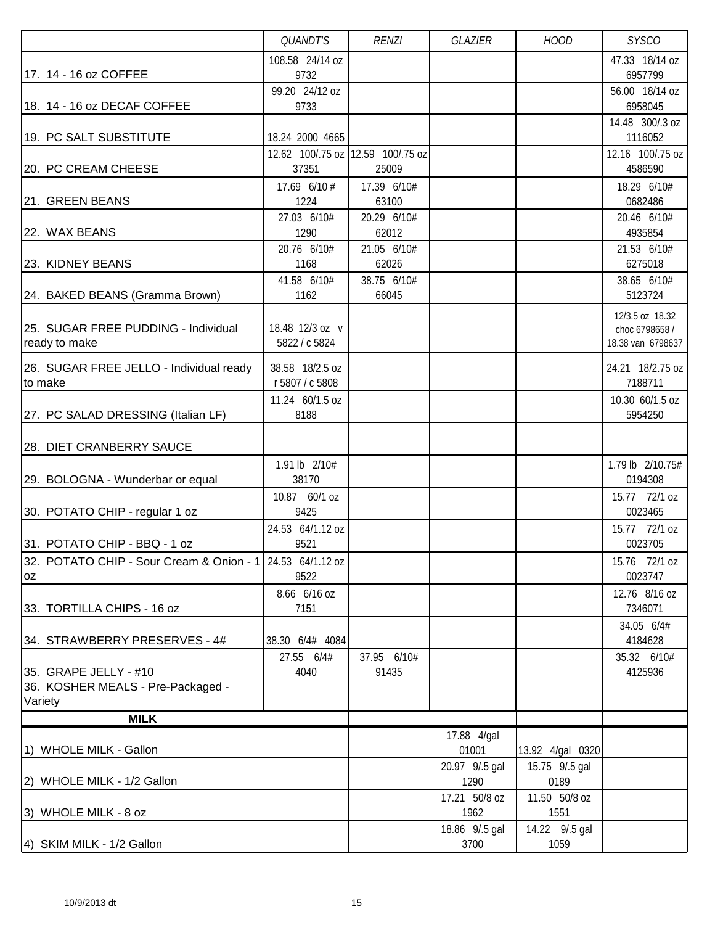|                                                                 | QUANDT'S                           | <b>RENZI</b>                      | <b>GLAZIER</b>         | <b>HOOD</b>            | <b>SYSCO</b>                      |
|-----------------------------------------------------------------|------------------------------------|-----------------------------------|------------------------|------------------------|-----------------------------------|
|                                                                 | 108.58 24/14 oz                    |                                   |                        |                        | 47.33 18/14 oz                    |
| 17. 14 - 16 oz COFFEE                                           | 9732                               |                                   |                        |                        | 6957799                           |
|                                                                 | 99.20 24/12 oz                     |                                   |                        |                        | 56.00 18/14 oz                    |
| 18. 14 - 16 oz DECAF COFFEE                                     | 9733                               |                                   |                        |                        | 6958045<br>14.48 300/.3 oz        |
| 19. PC SALT SUBSTITUTE                                          | 18.24 2000 4665                    |                                   |                        |                        | 1116052                           |
|                                                                 |                                    | 12.62 100/.75 oz 12.59 100/.75 oz |                        |                        | 12.16 100/.75 oz                  |
| 20. PC CREAM CHEESE                                             | 37351                              | 25009                             |                        |                        | 4586590                           |
|                                                                 | 17.69 6/10 #                       | 17.39 6/10#                       |                        |                        | 18.29 6/10#                       |
| 21. GREEN BEANS                                                 | 1224                               | 63100                             |                        |                        | 0682486                           |
|                                                                 | 27.03 6/10#                        | 20.29 6/10#                       |                        |                        | 20.46 6/10#                       |
| 22. WAX BEANS                                                   | 1290                               | 62012                             |                        |                        | 4935854                           |
|                                                                 | 20.76 6/10#                        | 21.05 6/10#                       |                        |                        | 21.53 6/10#                       |
| 23. KIDNEY BEANS                                                | 1168<br>41.58 6/10#                | 62026<br>38.75 6/10#              |                        |                        | 6275018<br>38.65 6/10#            |
| 24. BAKED BEANS (Gramma Brown)                                  | 1162                               | 66045                             |                        |                        | 5123724                           |
|                                                                 |                                    |                                   |                        |                        |                                   |
| 25. SUGAR FREE PUDDING - Individual                             | 18.48 12/3 oz v                    |                                   |                        |                        | 12/3.5 oz 18.32<br>choc 6798658 / |
| ready to make                                                   | 5822 / c 5824                      |                                   |                        |                        | 18.38 van 6798637                 |
| 26. SUGAR FREE JELLO - Individual ready                         |                                    |                                   |                        |                        |                                   |
| to make                                                         | 38.58 18/2.5 oz<br>r 5807 / c 5808 |                                   |                        |                        | 24.21 18/2.75 oz<br>7188711       |
|                                                                 | 11.24 60/1.5 oz                    |                                   |                        |                        | 10.30 60/1.5 oz                   |
| 27. PC SALAD DRESSING (Italian LF)                              | 8188                               |                                   |                        |                        | 5954250                           |
|                                                                 |                                    |                                   |                        |                        |                                   |
| 28. DIET CRANBERRY SAUCE                                        |                                    |                                   |                        |                        |                                   |
|                                                                 | 1.91 lb 2/10#                      |                                   |                        |                        | 1.79 lb 2/10.75#                  |
| 29. BOLOGNA - Wunderbar or equal                                | 38170                              |                                   |                        |                        | 0194308                           |
|                                                                 | 10.87 60/1 oz                      |                                   |                        |                        | 15.77 72/1 oz                     |
| 30. POTATO CHIP - regular 1 oz                                  | 9425                               |                                   |                        |                        | 0023465                           |
|                                                                 | 24.53 64/1.12 oz                   |                                   |                        |                        | 15.77 72/1 oz                     |
| 31. POTATO CHIP - BBQ - 1 oz                                    | 9521                               |                                   |                        |                        | 0023705                           |
| 32. POTATO CHIP - Sour Cream & Onion - 1 24.53 64/1.12 oz<br>0Z | 9522                               |                                   |                        |                        | 15.76 72/1 oz<br>0023747          |
|                                                                 | 8.66 6/16 oz                       |                                   |                        |                        | 12.76 8/16 oz                     |
| 33. TORTILLA CHIPS - 16 oz                                      | 7151                               |                                   |                        |                        | 7346071                           |
|                                                                 |                                    |                                   |                        |                        | 34.05 6/4#                        |
| 34. STRAWBERRY PRESERVES - 4#                                   | 38.30 6/4# 4084                    |                                   |                        |                        | 4184628                           |
|                                                                 | 27.55 6/4#                         | 37.95 6/10#                       |                        |                        | 35.32 6/10#                       |
| 35. GRAPE JELLY - #10                                           | 4040                               | 91435                             |                        |                        | 4125936                           |
| 36. KOSHER MEALS - Pre-Packaged -                               |                                    |                                   |                        |                        |                                   |
| Variety<br><b>MILK</b>                                          |                                    |                                   |                        |                        |                                   |
|                                                                 |                                    |                                   | 17.88 4/gal            |                        |                                   |
| 1) WHOLE MILK - Gallon                                          |                                    |                                   | 01001                  | 13.92 4/gal 0320       |                                   |
|                                                                 |                                    |                                   | 20.97 9/.5 gal         | 15.75 9/.5 gal         |                                   |
| 2) WHOLE MILK - 1/2 Gallon                                      |                                    |                                   | 1290                   | 0189                   |                                   |
|                                                                 |                                    |                                   | 17.21 50/8 oz          | 11.50 50/8 oz          |                                   |
| 3) WHOLE MILK - 8 oz                                            |                                    |                                   | 1962                   | 1551                   |                                   |
| 4) SKIM MILK - 1/2 Gallon                                       |                                    |                                   | 18.86 9/.5 gal<br>3700 | 14.22 9/.5 gal<br>1059 |                                   |
|                                                                 |                                    |                                   |                        |                        |                                   |